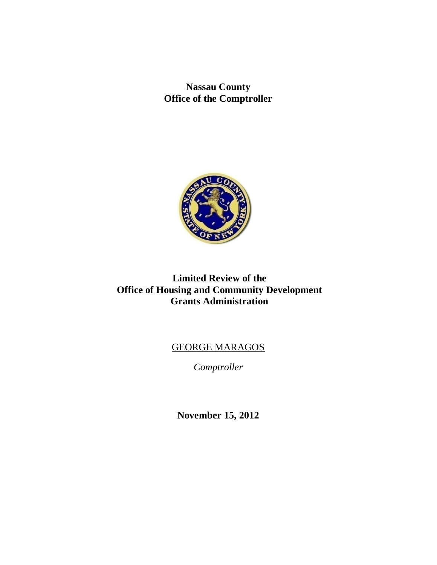**Nassau County Office of the Comptroller**



# **Limited Review of the Office of Housing and Community Development Grants Administration**

# GEORGE MARAGOS

*Comptroller*

**November 15, 2012**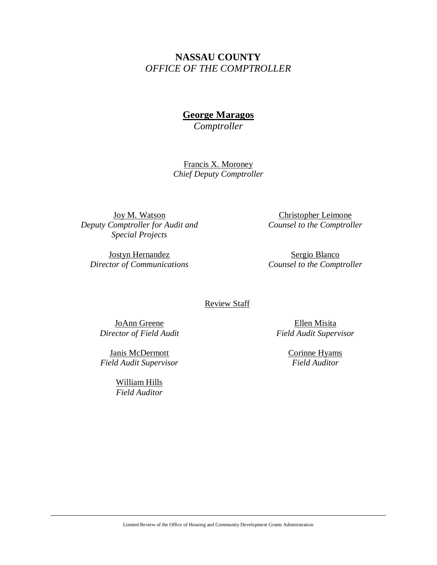# **NASSAU COUNTY** *OFFICE OF THE COMPTROLLER*

# **George Maragos**

*Comptroller*

Francis X. Moroney *Chief Deputy Comptroller*

Joy M. Watson *Deputy Comptroller for Audit and Special Projects*

Jostyn Hernandez *Director of Communications*

Christopher Leimone *Counsel to the Comptroller*

Sergio Blanco *Counsel to the Comptroller*

#### Review Staff

JoAnn Greene *Director of Field Audit*

Janis McDermott *Field Audit Supervisor*

> William Hills *Field Auditor*

Ellen Misita *Field Audit Supervisor*

> Corinne Hyams *Field Auditor*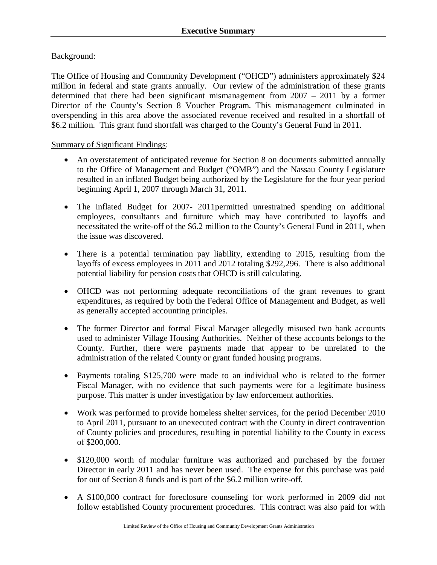# Background:

The Office of Housing and Community Development ("OHCD") administers approximately \$24 million in federal and state grants annually. Our review of the administration of these grants determined that there had been significant mismanagement from 2007 – 2011 by a former Director of the County's Section 8 Voucher Program. This mismanagement culminated in overspending in this area above the associated revenue received and resulted in a shortfall of \$6.2 million. This grant fund shortfall was charged to the County's General Fund in 2011.

### Summary of Significant Findings:

- An overstatement of anticipated revenue for Section 8 on documents submitted annually to the Office of Management and Budget ("OMB") and the Nassau County Legislature resulted in an inflated Budget being authorized by the Legislature for the four year period beginning April 1, 2007 through March 31, 2011.
- The inflated Budget for 2007- 2011 permitted unrestrained spending on additional employees, consultants and furniture which may have contributed to layoffs and necessitated the write-off of the \$6.2 million to the County's General Fund in 2011, when the issue was discovered.
- There is a potential termination pay liability, extending to 2015, resulting from the layoffs of excess employees in 2011 and 2012 totaling \$292,296. There is also additional potential liability for pension costs that OHCD is still calculating.
- OHCD was not performing adequate reconciliations of the grant revenues to grant expenditures, as required by both the Federal Office of Management and Budget, as well as generally accepted accounting principles.
- The former Director and formal Fiscal Manager allegedly misused two bank accounts used to administer Village Housing Authorities. Neither of these accounts belongs to the County. Further, there were payments made that appear to be unrelated to the administration of the related County or grant funded housing programs.
- Payments totaling \$125,700 were made to an individual who is related to the former Fiscal Manager, with no evidence that such payments were for a legitimate business purpose. This matter is under investigation by law enforcement authorities.
- Work was performed to provide homeless shelter services, for the period December 2010 to April 2011, pursuant to an unexecuted contract with the County in direct contravention of County policies and procedures, resulting in potential liability to the County in excess of \$200,000.
- \$120,000 worth of modular furniture was authorized and purchased by the former Director in early 2011 and has never been used. The expense for this purchase was paid for out of Section 8 funds and is part of the \$6.2 million write-off.
- A \$100,000 contract for foreclosure counseling for work performed in 2009 did not follow established County procurement procedures. This contract was also paid for with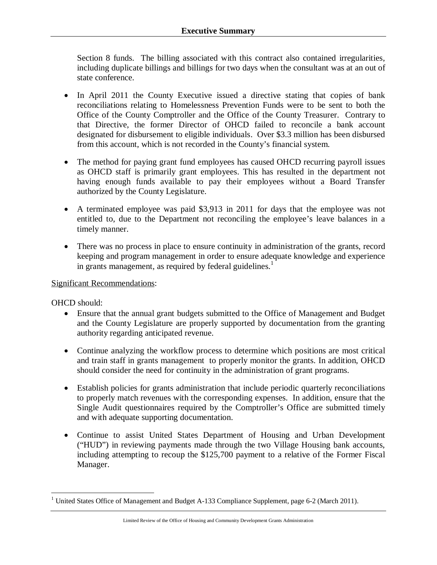Section 8 funds. The billing associated with this contract also contained irregularities, including duplicate billings and billings for two days when the consultant was at an out of state conference.

- In April 2011 the County Executive issued a directive stating that copies of bank reconciliations relating to Homelessness Prevention Funds were to be sent to both the Office of the County Comptroller and the Office of the County Treasurer. Contrary to that Directive, the former Director of OHCD failed to reconcile a bank account designated for disbursement to eligible individuals. Over \$3.3 million has been disbursed from this account, which is not recorded in the County's financial system.
- The method for paying grant fund employees has caused OHCD recurring payroll issues as OHCD staff is primarily grant employees. This has resulted in the department not having enough funds available to pay their employees without a Board Transfer authorized by the County Legislature.
- A terminated employee was paid \$3,913 in 2011 for days that the employee was not entitled to, due to the Department not reconciling the employee's leave balances in a timely manner.
- There was no process in place to ensure continuity in administration of the grants, record keeping and program management in order to ensure adequate knowledge and experience in grants management, as required by federal guidelines.<sup>1</sup>

### Significant Recommendations:

OHCD should:

 $\overline{a}$ 

- Ensure that the annual grant budgets submitted to the Office of Management and Budget and the County Legislature are properly supported by documentation from the granting authority regarding anticipated revenue.
- Continue analyzing the workflow process to determine which positions are most critical and train staff in grants management to properly monitor the grants. In addition, OHCD should consider the need for continuity in the administration of grant programs.
- Establish policies for grants administration that include periodic quarterly reconciliations to properly match revenues with the corresponding expenses. In addition, ensure that the Single Audit questionnaires required by the Comptroller's Office are submitted timely and with adequate supporting documentation.
- Continue to assist United States Department of Housing and Urban Development ("HUD") in reviewing payments made through the two Village Housing bank accounts, including attempting to recoup the \$125,700 payment to a relative of the Former Fiscal Manager.

<sup>&</sup>lt;sup>1</sup> United States Office of Management and Budget A-133 Compliance Supplement, page 6-2 (March 2011).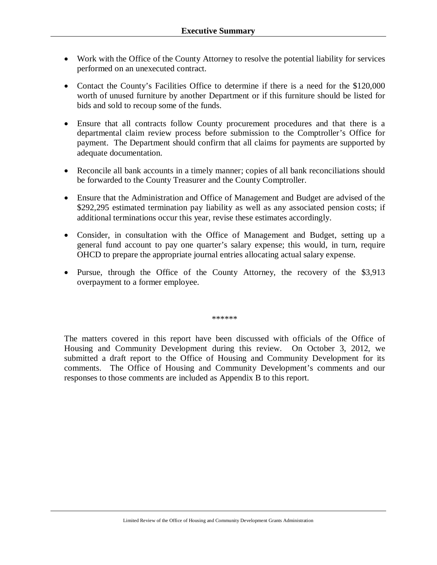- Work with the Office of the County Attorney to resolve the potential liability for services performed on an unexecuted contract.
- Contact the County's Facilities Office to determine if there is a need for the \$120,000 worth of unused furniture by another Department or if this furniture should be listed for bids and sold to recoup some of the funds.
- Ensure that all contracts follow County procurement procedures and that there is a departmental claim review process before submission to the Comptroller's Office for payment. The Department should confirm that all claims for payments are supported by adequate documentation.
- Reconcile all bank accounts in a timely manner; copies of all bank reconciliations should be forwarded to the County Treasurer and the County Comptroller.
- Ensure that the Administration and Office of Management and Budget are advised of the \$292,295 estimated termination pay liability as well as any associated pension costs; if additional terminations occur this year, revise these estimates accordingly.
- Consider, in consultation with the Office of Management and Budget, setting up a general fund account to pay one quarter's salary expense; this would, in turn, require OHCD to prepare the appropriate journal entries allocating actual salary expense.
- Pursue, through the Office of the County Attorney, the recovery of the \$3,913 overpayment to a former employee.

\*\*\*\*\*\*\*

The matters covered in this report have been discussed with officials of the Office of Housing and Community Development during this review. On October 3, 2012, we submitted a draft report to the Office of Housing and Community Development for its comments. The Office of Housing and Community Development's comments and our responses to those comments are included as Appendix B to this report.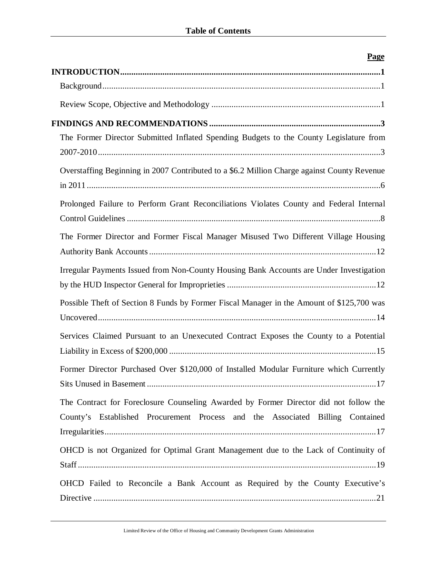| $\frac{1}{2}$                                                                               |
|---------------------------------------------------------------------------------------------|
|                                                                                             |
|                                                                                             |
|                                                                                             |
|                                                                                             |
| The Former Director Submitted Inflated Spending Budgets to the County Legislature from      |
|                                                                                             |
| Overstaffing Beginning in 2007 Contributed to a \$6.2 Million Charge against County Revenue |
| Prolonged Failure to Perform Grant Reconciliations Violates County and Federal Internal     |
|                                                                                             |
|                                                                                             |
| The Former Director and Former Fiscal Manager Misused Two Different Village Housing         |
|                                                                                             |
| Irregular Payments Issued from Non-County Housing Bank Accounts are Under Investigation     |
|                                                                                             |
| Possible Theft of Section 8 Funds by Former Fiscal Manager in the Amount of \$125,700 was   |
|                                                                                             |
| Services Claimed Pursuant to an Unexecuted Contract Exposes the County to a Potential       |
|                                                                                             |
| Former Director Purchased Over \$120,000 of Installed Modular Furniture which Currently     |
|                                                                                             |
| The Contract for Foreclosure Counseling Awarded by Former Director did not follow the       |
| County's Established Procurement Process and the Associated Billing Contained               |
|                                                                                             |
| OHCD is not Organized for Optimal Grant Management due to the Lack of Continuity of         |
|                                                                                             |
| OHCD Failed to Reconcile a Bank Account as Required by the County Executive's               |
|                                                                                             |

# **Page**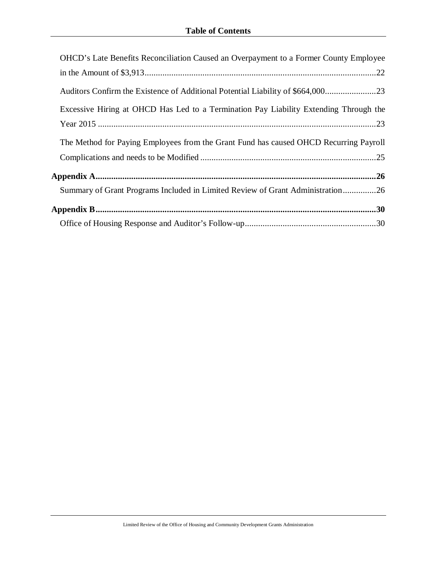| <b>OHCD's Late Benefits Reconciliation Caused an Overpayment to a Former County Employee</b> |
|----------------------------------------------------------------------------------------------|
|                                                                                              |
|                                                                                              |
| Excessive Hiring at OHCD Has Led to a Termination Pay Liability Extending Through the        |
|                                                                                              |
| The Method for Paying Employees from the Grant Fund has caused OHCD Recurring Payroll        |
|                                                                                              |
|                                                                                              |
| Summary of Grant Programs Included in Limited Review of Grant Administration26               |
|                                                                                              |
|                                                                                              |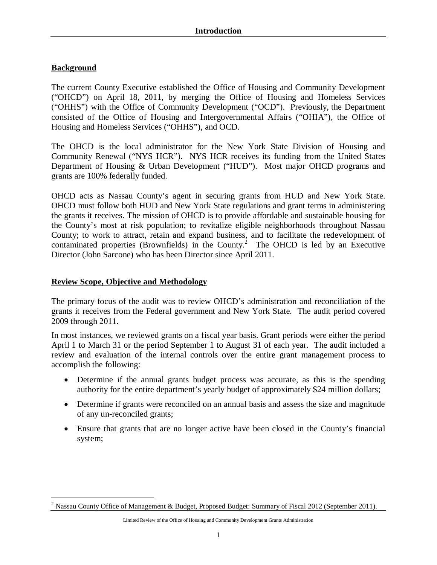# **Background**

The current County Executive established the Office of Housing and Community Development ("OHCD") on April 18, 2011, by merging the Office of Housing and Homeless Services ("OHHS") with the Office of Community Development ("OCD"). Previously, the Department consisted of the Office of Housing and Intergovernmental Affairs ("OHIA"), the Office of Housing and Homeless Services ("OHHS"), and OCD.

The OHCD is the local administrator for the New York State Division of Housing and Community Renewal ("NYS HCR"). NYS HCR receives its funding from the United States Department of Housing & Urban Development ("HUD"). Most major OHCD programs and grants are 100% federally funded.

OHCD acts as Nassau County's agent in securing grants from HUD and New York State. OHCD must follow both HUD and New York State regulations and grant terms in administering the grants it receives. The mission of OHCD is to provide affordable and sustainable housing for the County's most at risk population; to revitalize eligible neighborhoods throughout Nassau County; to work to attract, retain and expand business, and to facilitate the redevelopment of contaminated properties (Brownfields) in the County.<sup>2</sup> The OHCD is led by an Executive Director (John Sarcone) who has been Director since April 2011.

# **Review Scope, Objective and Methodology**

The primary focus of the audit was to review OHCD's administration and reconciliation of the grants it receives from the Federal government and New York State. The audit period covered 2009 through 2011.

In most instances, we reviewed grants on a fiscal year basis. Grant periods were either the period April 1 to March 31 or the period September 1 to August 31 of each year. The audit included a review and evaluation of the internal controls over the entire grant management process to accomplish the following:

- Determine if the annual grants budget process was accurate, as this is the spending authority for the entire department's yearly budget of approximately \$24 million dollars;
- Determine if grants were reconciled on an annual basis and assess the size and magnitude of any un-reconciled grants;
- Ensure that grants that are no longer active have been closed in the County's financial system;

Limited Review of the Office of Housing and Community Development Grants Administration

 $\overline{a}$ <sup>2</sup> Nassau County Office of Management & Budget, Proposed Budget: Summary of Fiscal 2012 (September 2011).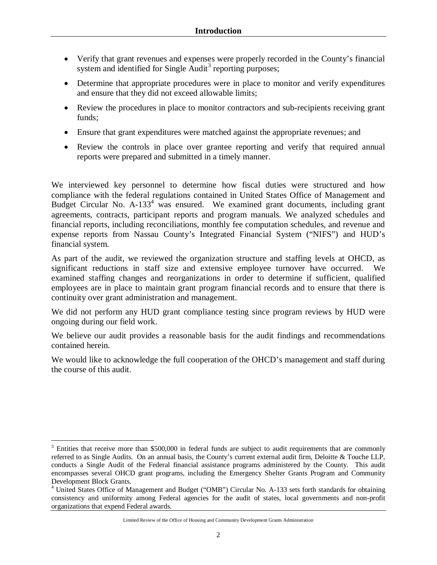- Verify that grant revenues and expenses were properly recorded in the County's financial system and identified for Single Audit<sup>3</sup> reporting purposes;
- Determine that appropriate procedures were in place to monitor and verify expenditures and ensure that they did not exceed allowable limits;
- Review the procedures in place to monitor contractors and sub-recipients receiving grant funds;
- Ensure that grant expenditures were matched against the appropriate revenues; and
- Review the controls in place over grantee reporting and verify that required annual reports were prepared and submitted in a timely manner.

We interviewed key personnel to determine how fiscal duties were structured and how compliance with the federal regulations contained in United States Office of Management and Budget Circular No.  $A-133<sup>4</sup>$  was ensured. We examined grant documents, including grant agreements, contracts, participant reports and program manuals. We analyzed schedules and financial reports, including reconciliations, monthly fee computation schedules, and revenue and expense reports from Nassau County's Integrated Financial System ("NIFS") and HUD's financial system.

As part of the audit, we reviewed the organization structure and staffing levels at OHCD, as significant reductions in staff size and extensive employee turnover have occurred. We examined staffing changes and reorganizations in order to determine if sufficient, qualified employees are in place to maintain grant program financial records and to ensure that there is continuity over grant administration and management.

We did not perform any HUD grant compliance testing since program reviews by HUD were ongoing during our field work.

We believe our audit provides a reasonable basis for the audit findings and recommendations contained herein.

We would like to acknowledge the full cooperation of the OHCD's management and staff during the course of this audit.

 $\overline{a}$ <sup>3</sup> Entities that receive more than \$500,000 in federal funds are subject to audit requirements that are commonly referred to as Single Audits. On an annual basis, the County's current external audit firm, Deloitte & Touche LLP, conducts a Single Audit of the Federal financial assistance programs administered by the County. This audit encompasses several OHCD grant programs, including the Emergency Shelter Grants Program and Community Development Block Grants.

<sup>4</sup> United States Office of Management and Budget ("OMB") Circular No. A-133 sets forth standards for obtaining consistency and uniformity among Federal agencies for the audit of states, local governments and non-profit organizations that expend Federal awards.

Limited Review of the Office of Housing and Community Development Grants Administration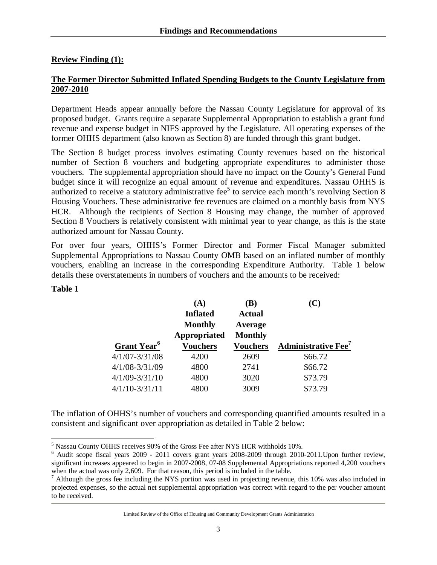# **Review Finding (1):**

### **The Former Director Submitted Inflated Spending Budgets to the County Legislature from 2007-2010**

Department Heads appear annually before the Nassau County Legislature for approval of its proposed budget. Grants require a separate Supplemental Appropriation to establish a grant fund revenue and expense budget in NIFS approved by the Legislature. All operating expenses of the former OHHS department (also known as Section 8) are funded through this grant budget.

The Section 8 budget process involves estimating County revenues based on the historical number of Section 8 vouchers and budgeting appropriate expenditures to administer those vouchers. The supplemental appropriation should have no impact on the County's General Fund budget since it will recognize an equal amount of revenue and expenditures. Nassau OHHS is authorized to receive a statutory administrative fee<sup>5</sup> to service each month's revolving Section 8 Housing Vouchers. These administrative fee revenues are claimed on a monthly basis from NYS HCR. Although the recipients of Section 8 Housing may change, the number of approved Section 8 Vouchers is relatively consistent with minimal year to year change, as this is the state authorized amount for Nassau County.

For over four years, OHHS's Former Director and Former Fiscal Manager submitted Supplemental Appropriations to Nassau County OMB based on an inflated number of monthly vouchers, enabling an increase in the corresponding Expenditure Authority. Table 1 below details these overstatements in numbers of vouchers and the amounts to be received:

#### **Table 1**

|                         | (A)             | (B)             | (C)                                    |
|-------------------------|-----------------|-----------------|----------------------------------------|
|                         | <b>Inflated</b> | <b>Actual</b>   |                                        |
|                         | <b>Monthly</b>  | Average         |                                        |
|                         | Appropriated    | <b>Monthly</b>  |                                        |
| Grant Year <sup>6</sup> | <b>Vouchers</b> | <b>Vouchers</b> | <b>Administrative Fee</b> <sup>7</sup> |
| $4/1/07 - 3/31/08$      | 4200            | 2609            | \$66.72                                |
| $4/1/08 - 3/31/09$      | 4800            | 2741            | \$66.72                                |
| $4/1/09 - 3/31/10$      | 4800            | 3020            | \$73.79                                |
| $4/1/10-3/31/11$        | 4800            | 3009            | \$73.79                                |

The inflation of OHHS's number of vouchers and corresponding quantified amounts resulted in a consistent and significant over appropriation as detailed in Table 2 below:

Limited Review of the Office of Housing and Community Development Grants Administration

 $\overline{a}$  $<sup>5</sup>$  Nassau County OHHS receives 90% of the Gross Fee after NYS HCR withholds 10%.</sup>

<sup>6</sup> Audit scope fiscal years 2009 - 2011 covers grant years 2008-2009 through 2010-2011.Upon further review, significant increases appeared to begin in 2007-2008, 07-08 Supplemental Appropriations reported 4,200 vouchers when the actual was only 2,609. For that reason, this period is included in the table.

 $<sup>7</sup>$  Although the gross fee including the NYS portion was used in projecting revenue, this 10% was also included in</sup> projected expenses, so the actual net supplemental appropriation was correct with regard to the per voucher amount to be received.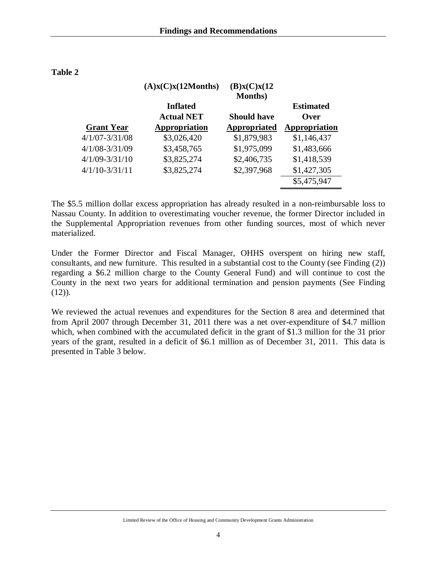|                    | (A)x(C)x(12Months) | (B)x(C)x(12)<br><b>Months</b> ) |                  |
|--------------------|--------------------|---------------------------------|------------------|
|                    | <b>Inflated</b>    |                                 | <b>Estimated</b> |
|                    | <b>Actual NET</b>  | <b>Should have</b>              | <b>Over</b>      |
| <b>Grant Year</b>  | Appropriation      | Appropriated                    | Appropriation    |
| $4/1/07 - 3/31/08$ | \$3,026,420        | \$1,879,983                     | \$1,146,437      |
| $4/1/08 - 3/31/09$ | \$3,458,765        | \$1,975,099                     | \$1,483,666      |
| $4/1/09 - 3/31/10$ | \$3,825,274        | \$2,406,735                     | \$1,418,539      |
| $4/1/10 - 3/31/11$ | \$3,825,274        | \$2,397,968                     | \$1,427,305      |
|                    |                    |                                 | \$5,475,947      |

The \$5.5 million dollar excess appropriation has already resulted in a non-reimbursable loss to Nassau County. In addition to overestimating voucher revenue, the former Director included in the Supplemental Appropriation revenues from other funding sources, most of which never materialized.

Under the Former Director and Fiscal Manager, OHHS overspent on hiring new staff, consultants, and new furniture. This resulted in a substantial cost to the County (see Finding (2)) regarding a \$6.2 million charge to the County General Fund) and will continue to cost the County in the next two years for additional termination and pension payments (See Finding  $(12)$ ).

We reviewed the actual revenues and expenditures for the Section 8 area and determined that from April 2007 through December 31, 2011 there was a net over-expenditure of \$4.7 million which, when combined with the accumulated deficit in the grant of \$1.3 million for the 31 prior years of the grant, resulted in a deficit of \$6.1 million as of December 31, 2011. This data is presented in Table 3 below.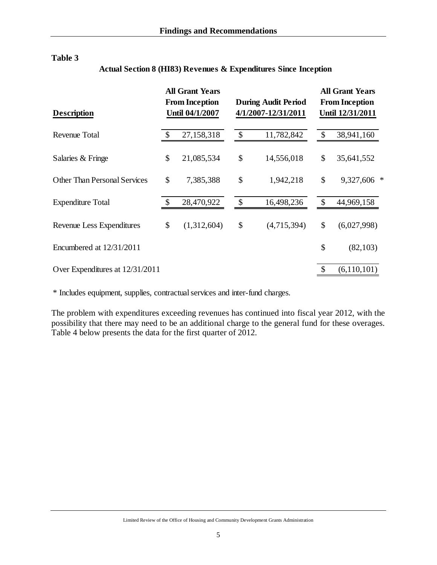| Description                         |               | <b>All Grant Years</b><br><b>From Inception</b><br>Until 04/1/2007 |                           | <b>During Audit Period</b><br>4/1/2007-12/31/2011 | <b>All Grant Years</b><br><b>From Inception</b><br>Until 12/31/2011 |                |  |
|-------------------------------------|---------------|--------------------------------------------------------------------|---------------------------|---------------------------------------------------|---------------------------------------------------------------------|----------------|--|
| Revenue Total                       | $\mathcal{S}$ | 27,158,318                                                         | $\boldsymbol{\mathsf{S}}$ | 11,782,842                                        |                                                                     | 38,941,160     |  |
| Salaries & Fringe                   | \$            | 21,085,534                                                         | \$                        | 14,556,018                                        | \$                                                                  | 35,641,552     |  |
| <b>Other Than Personal Services</b> | \$            | 7,385,388                                                          | \$                        | 1,942,218                                         | \$                                                                  | 9,327,606<br>∗ |  |
| <b>Expenditure Total</b>            | $\mathcal{S}$ | 28,470,922                                                         | $\boldsymbol{\mathsf{S}}$ | 16,498,236                                        | \$                                                                  | 44,969,158     |  |
| <b>Revenue Less Expenditures</b>    | \$            | (1,312,604)                                                        | \$                        | (4,715,394)                                       | \$                                                                  | (6,027,998)    |  |
| Encumbered at 12/31/2011            |               |                                                                    |                           |                                                   | \$                                                                  | (82, 103)      |  |
| Over Expenditures at 12/31/2011     |               |                                                                    |                           |                                                   |                                                                     | (6,110,101)    |  |

# **Actual Section 8 (HI83) Revenues & Expenditures Since Inception**

\* Includes equipment, supplies, contractual services and inter-fund charges.

The problem with expenditures exceeding revenues has continued into fiscal year 2012, with the possibility that there may need to be an additional charge to the general fund for these overages. Table 4 below presents the data for the first quarter of 2012.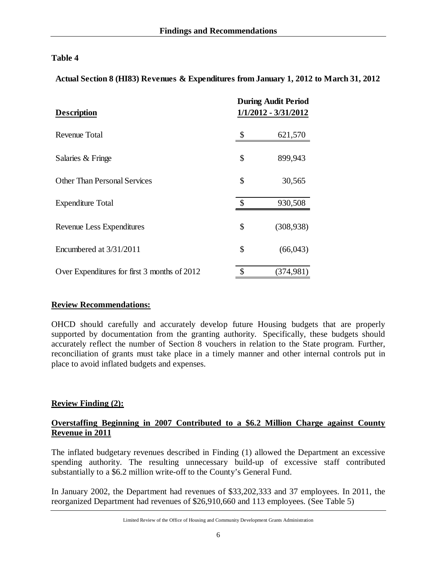**Actual Section 8 (HI83) Revenues & Expenditures from January 1, 2012 to March 31, 2012**

| <b>Description</b>                           | <b>During Audit Period</b><br>1/1/2012 - 3/31/2012 |
|----------------------------------------------|----------------------------------------------------|
| Revenue Total                                | \$<br>621,570                                      |
| Salaries & Fringe                            | \$<br>899,943                                      |
| <b>Other Than Personal Services</b>          | \$<br>30,565                                       |
| <b>Expenditure Total</b>                     | \$<br>930,508                                      |
| Revenue Less Expenditures                    | \$<br>(308, 938)                                   |
| Encumbered at 3/31/2011                      | \$<br>(66,043)                                     |
| Over Expenditures for first 3 months of 2012 | (374,981)                                          |

### **Review Recommendations:**

OHCD should carefully and accurately develop future Housing budgets that are properly supported by documentation from the granting authority. Specifically, these budgets should accurately reflect the number of Section 8 vouchers in relation to the State program. Further, reconciliation of grants must take place in a timely manner and other internal controls put in place to avoid inflated budgets and expenses.

# **Review Finding (2):**

# **Overstaffing Beginning in 2007 Contributed to a \$6.2 Million Charge against County Revenue in 2011**

The inflated budgetary revenues described in Finding (1) allowed the Department an excessive spending authority. The resulting unnecessary build-up of excessive staff contributed substantially to a \$6.2 million write-off to the County's General Fund.

In January 2002, the Department had revenues of \$33,202,333 and 37 employees. In 2011, the reorganized Department had revenues of \$26,910,660 and 113 employees. (See Table 5)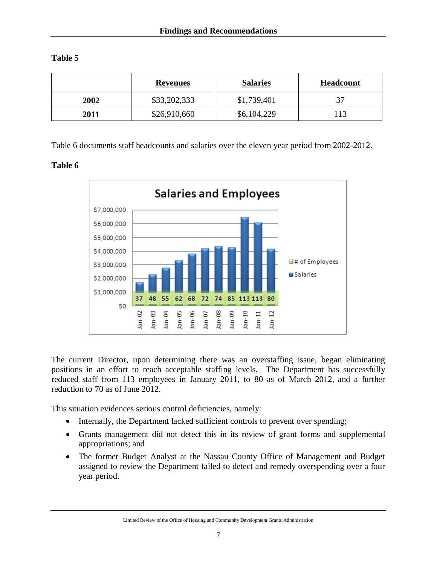| abie |
|------|
|------|

|      | <b>Revenues</b> | <b>Salaries</b> | <b>Headcount</b> |
|------|-----------------|-----------------|------------------|
| 2002 | \$33,202,333    | \$1,739,401     |                  |
| 2011 | \$26,910,660    | \$6,104,229     | 113              |

Table 6 documents staff headcounts and salaries over the eleven year period from 2002-2012.

# **Table 6**



The current Director, upon determining there was an overstaffing issue, began eliminating positions in an effort to reach acceptable staffing levels. The Department has successfully reduced staff from 113 employees in January 2011, to 80 as of March 2012, and a further reduction to 70 as of June 2012.

This situation evidences serious control deficiencies, namely:

- Internally, the Department lacked sufficient controls to prevent over spending;
- Grants management did not detect this in its review of grant forms and supplemental appropriations; and
- The former Budget Analyst at the Nassau County Office of Management and Budget assigned to review the Department failed to detect and remedy overspending over a four year period.

Limited Review of the Office of Housing and Community Development Grants Administration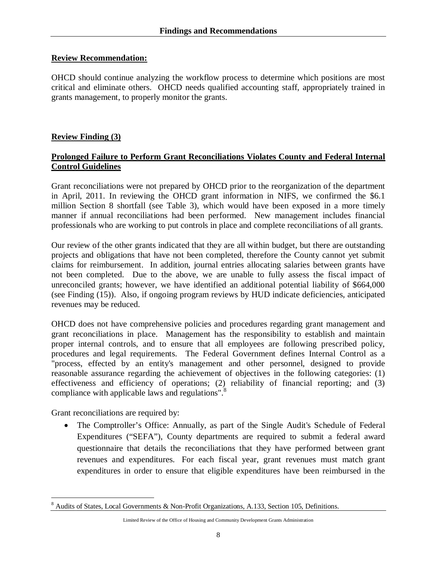### **Review Recommendation:**

OHCD should continue analyzing the workflow process to determine which positions are most critical and eliminate others. OHCD needs qualified accounting staff, appropriately trained in grants management, to properly monitor the grants.

# **Review Finding (3)**

# **Prolonged Failure to Perform Grant Reconciliations Violates County and Federal Internal Control Guidelines**

Grant reconciliations were not prepared by OHCD prior to the reorganization of the department in April, 2011. In reviewing the OHCD grant information in NIFS, we confirmed the \$6.1 million Section 8 shortfall (see Table 3), which would have been exposed in a more timely manner if annual reconciliations had been performed. New management includes financial professionals who are working to put controls in place and complete reconciliations of all grants.

Our review of the other grants indicated that they are all within budget, but there are outstanding projects and obligations that have not been completed, therefore the County cannot yet submit claims for reimbursement. In addition, journal entries allocating salaries between grants have not been completed. Due to the above, we are unable to fully assess the fiscal impact of unreconciled grants; however, we have identified an additional potential liability of \$664,000 (see Finding (15)). Also, if ongoing program reviews by HUD indicate deficiencies, anticipated revenues may be reduced.

OHCD does not have comprehensive policies and procedures regarding grant management and grant reconciliations in place. Management has the responsibility to establish and maintain proper internal controls, and to ensure that all employees are following prescribed policy, procedures and legal requirements. The Federal Government defines Internal Control as a "process, effected by an entity's management and other personnel, designed to provide reasonable assurance regarding the achievement of objectives in the following categories: (1) effectiveness and efficiency of operations; (2) reliability of financial reporting; and (3) compliance with applicable laws and regulations".<sup>8</sup>

Grant reconciliations are required by:

• The Comptroller's Office: Annually, as part of the Single Audit's Schedule of Federal Expenditures ("SEFA"), County departments are required to submit a federal award questionnaire that details the reconciliations that they have performed between grant revenues and expenditures. For each fiscal year, grant revenues must match grant expenditures in order to ensure that eligible expenditures have been reimbursed in the

 $\overline{a}$ <sup>8</sup> Audits of States, Local Governments & Non-Profit Organizations, A.133, Section 105, Definitions.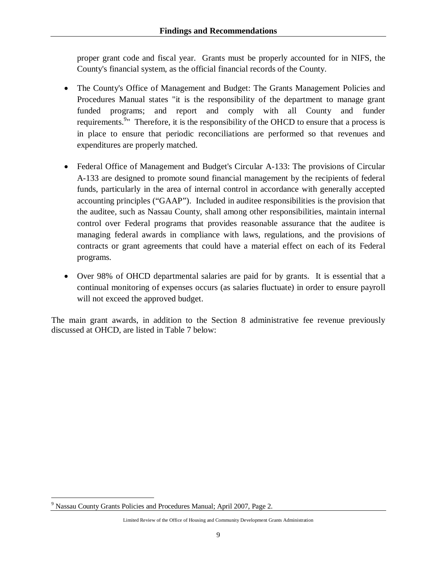proper grant code and fiscal year. Grants must be properly accounted for in NIFS, the County's financial system, as the official financial records of the County.

- The County's Office of Management and Budget: The Grants Management Policies and Procedures Manual states "it is the responsibility of the department to manage grant funded programs; and report and comply with all County and funder requirements.<sup>9</sup> Therefore, it is the responsibility of the OHCD to ensure that a process is in place to ensure that periodic reconciliations are performed so that revenues and expenditures are properly matched.
- Federal Office of Management and Budget's Circular A-133: The provisions of Circular A-133 are designed to promote sound financial management by the recipients of federal funds, particularly in the area of internal control in accordance with generally accepted accounting principles ("GAAP"). Included in auditee responsibilities is the provision that the auditee, such as Nassau County, shall among other responsibilities, maintain internal control over Federal programs that provides reasonable assurance that the auditee is managing federal awards in compliance with laws, regulations, and the provisions of contracts or grant agreements that could have a material effect on each of its Federal programs.
- Over 98% of OHCD departmental salaries are paid for by grants. It is essential that a continual monitoring of expenses occurs (as salaries fluctuate) in order to ensure payroll will not exceed the approved budget.

The main grant awards, in addition to the Section 8 administrative fee revenue previously discussed at OHCD, are listed in Table 7 below:

 $\overline{a}$ 

<sup>&</sup>lt;sup>9</sup> Nassau County Grants Policies and Procedures Manual; April 2007, Page 2.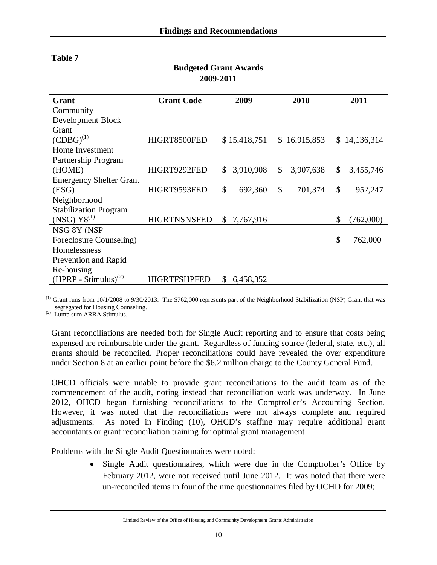| Grant                          | <b>Grant Code</b>   | 2009            | 2010                         | 2011             |
|--------------------------------|---------------------|-----------------|------------------------------|------------------|
| Community                      |                     |                 |                              |                  |
| Development Block              |                     |                 |                              |                  |
| Grant                          |                     |                 |                              |                  |
| $(CDBG)^{(1)}$                 | HIGRT8500FED        | \$15,418,751    | 16,915,853<br>$\mathbb{S}^-$ | 14,136,314<br>\$ |
| Home Investment                |                     |                 |                              |                  |
| Partnership Program            |                     |                 |                              |                  |
| (HOME)                         | HIGRT9292FED        | 3,910,908<br>\$ | \$<br>3,907,638              | \$<br>3,455,746  |
| <b>Emergency Shelter Grant</b> |                     |                 |                              |                  |
| (ESG)                          | HIGRT9593FED        | \$<br>692,360   | \$<br>701,374                | \$<br>952,247    |
| Neighborhood                   |                     |                 |                              |                  |
| <b>Stabilization Program</b>   |                     |                 |                              |                  |
| $(NSG) Y8^{(1)}$               | <b>HIGRTNSNSFED</b> | 7,767,916<br>\$ |                              | \$<br>(762,000)  |
| NSG 8Y (NSP                    |                     |                 |                              |                  |
| Foreclosure Counseling)        |                     |                 |                              | \$<br>762,000    |
| Homelessness                   |                     |                 |                              |                  |
| Prevention and Rapid           |                     |                 |                              |                  |
| Re-housing                     |                     |                 |                              |                  |
| $(HPRP - Stimulus)^{(2)}$      | <b>HIGRTFSHPFED</b> | \$<br>6,458,352 |                              |                  |

# **Budgeted Grant Awards 2009-2011**

 $<sup>(1)</sup>$  Grant runs from  $10/1/2008$  to  $9/30/2013$ . The \$762,000 represents part of the Neighborhood Stabilization (NSP) Grant that was</sup> segregated for Housing Counseling.

(2) Lump sum ARRA Stimulus.

Grant reconciliations are needed both for Single Audit reporting and to ensure that costs being expensed are reimbursable under the grant. Regardless of funding source (federal, state, etc.), all grants should be reconciled. Proper reconciliations could have revealed the over expenditure under Section 8 at an earlier point before the \$6.2 million charge to the County General Fund.

OHCD officials were unable to provide grant reconciliations to the audit team as of the commencement of the audit, noting instead that reconciliation work was underway. In June 2012, OHCD began furnishing reconciliations to the Comptroller's Accounting Section. However, it was noted that the reconciliations were not always complete and required adjustments. As noted in Finding (10), OHCD's staffing may require additional grant accountants or grant reconciliation training for optimal grant management.

Problems with the Single Audit Questionnaires were noted:

 Single Audit questionnaires, which were due in the Comptroller's Office by February 2012, were not received until June 2012. It was noted that there were un-reconciled items in four of the nine questionnaires filed by OCHD for 2009;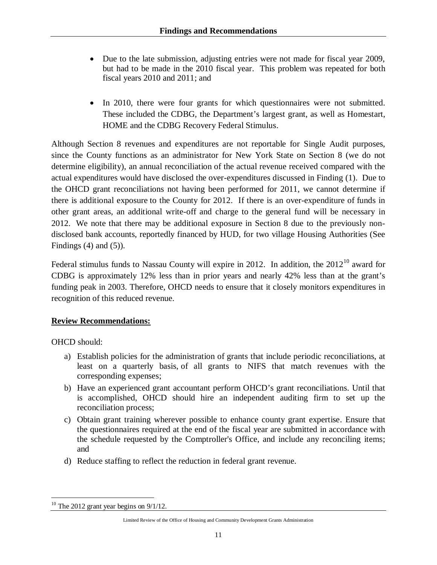- Due to the late submission, adjusting entries were not made for fiscal year 2009, but had to be made in the 2010 fiscal year. This problem was repeated for both fiscal years 2010 and 2011; and
- In 2010, there were four grants for which questionnaires were not submitted. These included the CDBG, the Department's largest grant, as well as Homestart, HOME and the CDBG Recovery Federal Stimulus.

Although Section 8 revenues and expenditures are not reportable for Single Audit purposes, since the County functions as an administrator for New York State on Section 8 (we do not determine eligibility), an annual reconciliation of the actual revenue received compared with the actual expenditures would have disclosed the over-expenditures discussed in Finding (1). Due to the OHCD grant reconciliations not having been performed for 2011, we cannot determine if there is additional exposure to the County for 2012. If there is an over-expenditure of funds in other grant areas, an additional write-off and charge to the general fund will be necessary in 2012. We note that there may be additional exposure in Section 8 due to the previously nondisclosed bank accounts, reportedly financed by HUD, for two village Housing Authorities (See Findings  $(4)$  and  $(5)$ ).

Federal stimulus funds to Nassau County will expire in 2012. In addition, the  $2012^{10}$  award for CDBG is approximately 12% less than in prior years and nearly 42% less than at the grant's funding peak in 2003. Therefore, OHCD needs to ensure that it closely monitors expenditures in recognition of this reduced revenue.

# **Review Recommendations:**

OHCD should:

- a) Establish policies for the administration of grants that include periodic reconciliations, at least on a quarterly basis, of all grants to NIFS that match revenues with the corresponding expenses;
- b) Have an experienced grant accountant perform OHCD's grant reconciliations. Until that is accomplished, OHCD should hire an independent auditing firm to set up the reconciliation process;
- c) Obtain grant training wherever possible to enhance county grant expertise. Ensure that the questionnaires required at the end of the fiscal year are submitted in accordance with the schedule requested by the Comptroller's Office, and include any reconciling items; and
- d) Reduce staffing to reflect the reduction in federal grant revenue.

 $\overline{a}$  $10$  The 2012 grant year begins on  $9/1/12$ .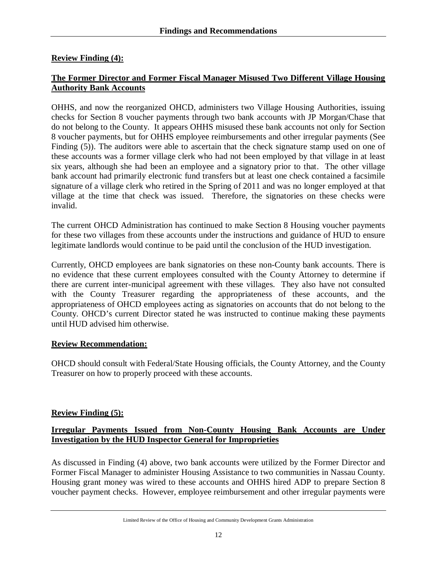# **Review Finding (4):**

# **The Former Director and Former Fiscal Manager Misused Two Different Village Housing Authority Bank Accounts**

OHHS, and now the reorganized OHCD, administers two Village Housing Authorities, issuing checks for Section 8 voucher payments through two bank accounts with JP Morgan/Chase that do not belong to the County. It appears OHHS misused these bank accounts not only for Section 8 voucher payments, but for OHHS employee reimbursements and other irregular payments (See Finding (5)). The auditors were able to ascertain that the check signature stamp used on one of these accounts was a former village clerk who had not been employed by that village in at least six years, although she had been an employee and a signatory prior to that. The other village bank account had primarily electronic fund transfers but at least one check contained a facsimile signature of a village clerk who retired in the Spring of 2011 and was no longer employed at that village at the time that check was issued. Therefore, the signatories on these checks were invalid.

The current OHCD Administration has continued to make Section 8 Housing voucher payments for these two villages from these accounts under the instructions and guidance of HUD to ensure legitimate landlords would continue to be paid until the conclusion of the HUD investigation.

Currently, OHCD employees are bank signatories on these non-County bank accounts. There is no evidence that these current employees consulted with the County Attorney to determine if there are current inter-municipal agreement with these villages. They also have not consulted with the County Treasurer regarding the appropriateness of these accounts, and the appropriateness of OHCD employees acting as signatories on accounts that do not belong to the County. OHCD's current Director stated he was instructed to continue making these payments until HUD advised him otherwise.

# **Review Recommendation:**

OHCD should consult with Federal/State Housing officials, the County Attorney, and the County Treasurer on how to properly proceed with these accounts.

# **Review Finding (5):**

# **Irregular Payments Issued from Non-County Housing Bank Accounts are Under Investigation by the HUD Inspector General for Improprieties**

As discussed in Finding (4) above, two bank accounts were utilized by the Former Director and Former Fiscal Manager to administer Housing Assistance to two communities in Nassau County. Housing grant money was wired to these accounts and OHHS hired ADP to prepare Section 8 voucher payment checks. However, employee reimbursement and other irregular payments were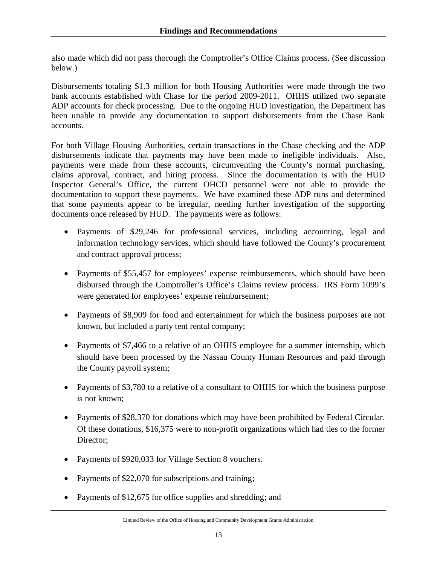also made which did not pass thorough the Comptroller's Office Claims process. (See discussion below.)

Disbursements totaling \$1.3 million for both Housing Authorities were made through the two bank accounts established with Chase for the period 2009-2011. OHHS utilized two separate ADP accounts for check processing. Due to the ongoing HUD investigation, the Department has been unable to provide any documentation to support disbursements from the Chase Bank accounts.

For both Village Housing Authorities, certain transactions in the Chase checking and the ADP disbursements indicate that payments may have been made to ineligible individuals. Also, payments were made from these accounts, circumventing the County's normal purchasing, claims approval, contract, and hiring process. Since the documentation is with the HUD Inspector General's Office, the current OHCD personnel were not able to provide the documentation to support these payments. We have examined these ADP runs and determined that some payments appear to be irregular, needing further investigation of the supporting documents once released by HUD. The payments were as follows:

- Payments of \$29,246 for professional services, including accounting, legal and information technology services, which should have followed the County's procurement and contract approval process;
- Payments of \$55,457 for employees' expense reimbursements, which should have been disbursed through the Comptroller's Office's Claims review process. IRS Form 1099's were generated for employees' expense reimbursement;
- Payments of \$8,909 for food and entertainment for which the business purposes are not known, but included a party tent rental company;
- Payments of \$7,466 to a relative of an OHHS employee for a summer internship, which should have been processed by the Nassau County Human Resources and paid through the County payroll system;
- Payments of \$3,780 to a relative of a consultant to OHHS for which the business purpose is not known;
- Payments of \$28,370 for donations which may have been prohibited by Federal Circular. Of these donations, \$16,375 were to non-profit organizations which had ties to the former Director:
- Payments of \$920,033 for Village Section 8 vouchers.
- Payments of \$22,070 for subscriptions and training;
- Payments of \$12,675 for office supplies and shredding; and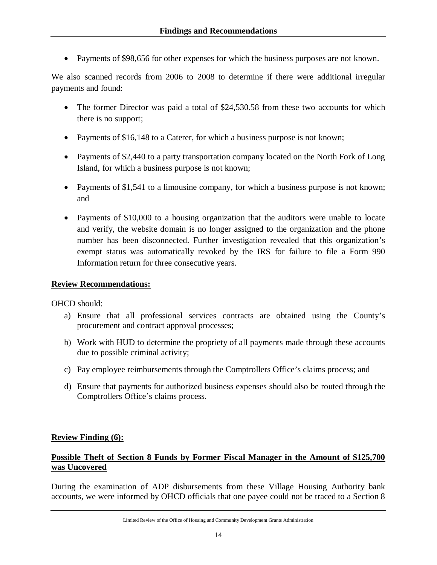• Payments of \$98,656 for other expenses for which the business purposes are not known.

We also scanned records from 2006 to 2008 to determine if there were additional irregular payments and found:

- The former Director was paid a total of \$24,530.58 from these two accounts for which there is no support;
- Payments of \$16,148 to a Caterer, for which a business purpose is not known;
- Payments of \$2,440 to a party transportation company located on the North Fork of Long Island, for which a business purpose is not known;
- Payments of \$1,541 to a limousine company, for which a business purpose is not known; and
- Payments of \$10,000 to a housing organization that the auditors were unable to locate and verify, the website domain is no longer assigned to the organization and the phone number has been disconnected. Further investigation revealed that this organization's exempt status was automatically revoked by the IRS for failure to file a Form 990 Information return for three consecutive years.

### **Review Recommendations:**

OHCD should:

- a) Ensure that all professional services contracts are obtained using the County's procurement and contract approval processes;
- b) Work with HUD to determine the propriety of all payments made through these accounts due to possible criminal activity;
- c) Pay employee reimbursements through the Comptrollers Office's claims process; and
- d) Ensure that payments for authorized business expenses should also be routed through the Comptrollers Office's claims process.

# **Review Finding (6):**

# **Possible Theft of Section 8 Funds by Former Fiscal Manager in the Amount of \$125,700 was Uncovered**

During the examination of ADP disbursements from these Village Housing Authority bank accounts, we were informed by OHCD officials that one payee could not be traced to a Section 8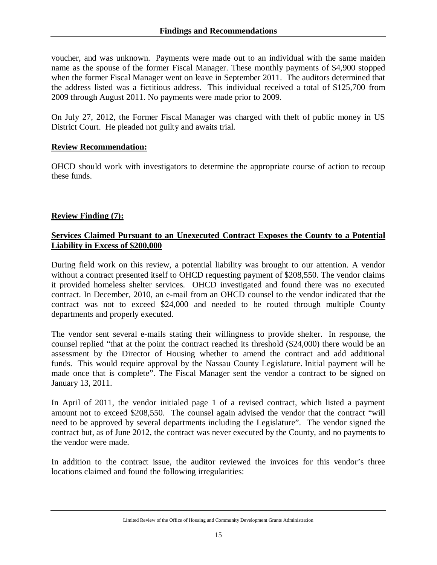voucher, and was unknown. Payments were made out to an individual with the same maiden name as the spouse of the former Fiscal Manager. These monthly payments of \$4,900 stopped when the former Fiscal Manager went on leave in September 2011. The auditors determined that the address listed was a fictitious address. This individual received a total of \$125,700 from 2009 through August 2011. No payments were made prior to 2009.

On July 27, 2012, the Former Fiscal Manager was charged with theft of public money in US District Court. He pleaded not guilty and awaits trial.

# **Review Recommendation:**

OHCD should work with investigators to determine the appropriate course of action to recoup these funds.

# **Review Finding (7):**

# **Services Claimed Pursuant to an Unexecuted Contract Exposes the County to a Potential Liability in Excess of \$200,000**

During field work on this review, a potential liability was brought to our attention. A vendor without a contract presented itself to OHCD requesting payment of \$208,550. The vendor claims it provided homeless shelter services. OHCD investigated and found there was no executed contract. In December, 2010, an e-mail from an OHCD counsel to the vendor indicated that the contract was not to exceed \$24,000 and needed to be routed through multiple County departments and properly executed.

The vendor sent several e-mails stating their willingness to provide shelter. In response, the counsel replied "that at the point the contract reached its threshold (\$24,000) there would be an assessment by the Director of Housing whether to amend the contract and add additional funds. This would require approval by the Nassau County Legislature. Initial payment will be made once that is complete". The Fiscal Manager sent the vendor a contract to be signed on January 13, 2011.

In April of 2011, the vendor initialed page 1 of a revised contract, which listed a payment amount not to exceed \$208,550. The counsel again advised the vendor that the contract "will need to be approved by several departments including the Legislature". The vendor signed the contract but, as of June 2012, the contract was never executed by the County, and no payments to the vendor were made.

In addition to the contract issue, the auditor reviewed the invoices for this vendor's three locations claimed and found the following irregularities:

Limited Review of the Office of Housing and Community Development Grants Administration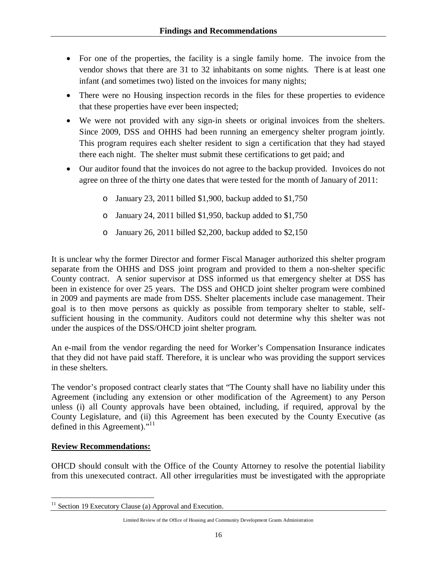- For one of the properties, the facility is a single family home. The invoice from the vendor shows that there are 31 to 32 inhabitants on some nights. There is at least one infant (and sometimes two) listed on the invoices for many nights;
- There were no Housing inspection records in the files for these properties to evidence that these properties have ever been inspected;
- We were not provided with any sign-in sheets or original invoices from the shelters. Since 2009, DSS and OHHS had been running an emergency shelter program jointly. This program requires each shelter resident to sign a certification that they had stayed there each night. The shelter must submit these certifications to get paid; and
- Our auditor found that the invoices do not agree to the backup provided. Invoices do not agree on three of the thirty one dates that were tested for the month of January of 2011:
	- o January 23, 2011 billed \$1,900, backup added to \$1,750
	- o January 24, 2011 billed \$1,950, backup added to \$1,750
	- o January 26, 2011 billed \$2,200, backup added to  $$2,150$

It is unclear why the former Director and former Fiscal Manager authorized this shelter program separate from the OHHS and DSS joint program and provided to them a non-shelter specific County contract. A senior supervisor at DSS informed us that emergency shelter at DSS has been in existence for over 25 years. The DSS and OHCD joint shelter program were combined in 2009 and payments are made from DSS. Shelter placements include case management. Their goal is to then move persons as quickly as possible from temporary shelter to stable, selfsufficient housing in the community. Auditors could not determine why this shelter was not under the auspices of the DSS/OHCD joint shelter program.

An e-mail from the vendor regarding the need for Worker's Compensation Insurance indicates that they did not have paid staff. Therefore, it is unclear who was providing the support services in these shelters.

The vendor's proposed contract clearly states that "The County shall have no liability under this Agreement (including any extension or other modification of the Agreement) to any Person unless (i) all County approvals have been obtained, including, if required, approval by the County Legislature, and (ii) this Agreement has been executed by the County Executive (as defined in this Agreement)."<sup>11</sup>

# **Review Recommendations:**

OHCD should consult with the Office of the County Attorney to resolve the potential liability from this unexecuted contract. All other irregularities must be investigated with the appropriate

 $\overline{a}$  $11$  Section 19 Executory Clause (a) Approval and Execution.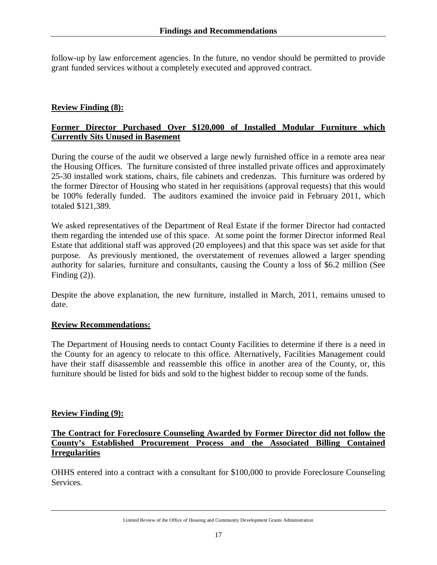follow-up by law enforcement agencies. In the future, no vendor should be permitted to provide grant funded services without a completely executed and approved contract.

# **Review Finding (8):**

# **Former Director Purchased Over \$120,000 of Installed Modular Furniture which Currently Sits Unused in Basement**

During the course of the audit we observed a large newly furnished office in a remote area near the Housing Offices. The furniture consisted of three installed private offices and approximately 25-30 installed work stations, chairs, file cabinets and credenzas. This furniture was ordered by the former Director of Housing who stated in her requisitions (approval requests) that this would be 100% federally funded. The auditors examined the invoice paid in February 2011, which totaled \$121,389.

We asked representatives of the Department of Real Estate if the former Director had contacted them regarding the intended use of this space. At some point the former Director informed Real Estate that additional staff was approved (20 employees) and that this space was set aside for that purpose. As previously mentioned, the overstatement of revenues allowed a larger spending authority for salaries, furniture and consultants, causing the County a loss of \$6.2 million (See Finding  $(2)$ ).

Despite the above explanation, the new furniture, installed in March, 2011, remains unused to date.

### **Review Recommendations:**

The Department of Housing needs to contact County Facilities to determine if there is a need in the County for an agency to relocate to this office. Alternatively, Facilities Management could have their staff disassemble and reassemble this office in another area of the County, or, this furniture should be listed for bids and sold to the highest bidder to recoup some of the funds.

### **Review Finding (9):**

# **The Contract for Foreclosure Counseling Awarded by Former Director did not follow the County's Established Procurement Process and the Associated Billing Contained Irregularities**

OHHS entered into a contract with a consultant for \$100,000 to provide Foreclosure Counseling Services.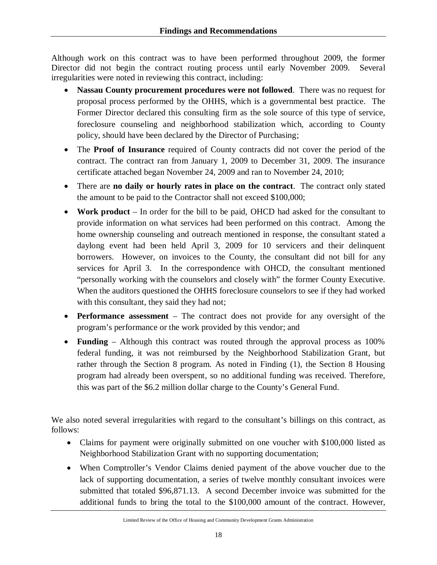Although work on this contract was to have been performed throughout 2009, the former Director did not begin the contract routing process until early November 2009. Several irregularities were noted in reviewing this contract, including:

- **Nassau County procurement procedures were not followed**. There was no request for proposal process performed by the OHHS, which is a governmental best practice. The Former Director declared this consulting firm as the sole source of this type of service, foreclosure counseling and neighborhood stabilization which, according to County policy, should have been declared by the Director of Purchasing;
- The **Proof of Insurance** required of County contracts did not cover the period of the contract. The contract ran from January 1, 2009 to December 31, 2009. The insurance certificate attached began November 24, 2009 and ran to November 24, 2010;
- There are **no daily or hourly rates in place on the contract**. The contract only stated the amount to be paid to the Contractor shall not exceed \$100,000;
- **Work product** In order for the bill to be paid, OHCD had asked for the consultant to provide information on what services had been performed on this contract. Among the home ownership counseling and outreach mentioned in response, the consultant stated a daylong event had been held April 3, 2009 for 10 servicers and their delinquent borrowers. However, on invoices to the County, the consultant did not bill for any services for April 3. In the correspondence with OHCD, the consultant mentioned "personally working with the counselors and closely with" the former County Executive. When the auditors questioned the OHHS foreclosure counselors to see if they had worked with this consultant, they said they had not;
- **Performance assessment** The contract does not provide for any oversight of the program's performance or the work provided by this vendor; and
- **Funding** Although this contract was routed through the approval process as 100% federal funding, it was not reimbursed by the Neighborhood Stabilization Grant, but rather through the Section 8 program. As noted in Finding (1), the Section 8 Housing program had already been overspent, so no additional funding was received. Therefore, this was part of the \$6.2 million dollar charge to the County's General Fund.

We also noted several irregularities with regard to the consultant's billings on this contract, as follows:

- Claims for payment were originally submitted on one voucher with \$100,000 listed as Neighborhood Stabilization Grant with no supporting documentation;
- When Comptroller's Vendor Claims denied payment of the above voucher due to the lack of supporting documentation, a series of twelve monthly consultant invoices were submitted that totaled \$96,871.13. A second December invoice was submitted for the additional funds to bring the total to the \$100,000 amount of the contract. However,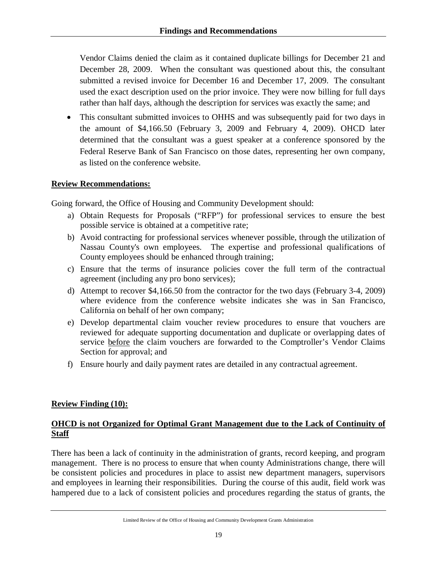Vendor Claims denied the claim as it contained duplicate billings for December 21 and December 28, 2009. When the consultant was questioned about this, the consultant submitted a revised invoice for December 16 and December 17, 2009. The consultant used the exact description used on the prior invoice. They were now billing for full days rather than half days, although the description for services was exactly the same; and

 This consultant submitted invoices to OHHS and was subsequently paid for two days in the amount of \$4,166.50 (February 3, 2009 and February 4, 2009). OHCD later determined that the consultant was a guest speaker at a conference sponsored by the Federal Reserve Bank of San Francisco on those dates, representing her own company, as listed on the conference website.

### **Review Recommendations:**

Going forward, the Office of Housing and Community Development should:

- a) Obtain Requests for Proposals ("RFP") for professional services to ensure the best possible service is obtained at a competitive rate;
- b) Avoid contracting for professional services whenever possible, through the utilization of Nassau County's own employees. The expertise and professional qualifications of County employees should be enhanced through training;
- c) Ensure that the terms of insurance policies cover the full term of the contractual agreement (including any pro bono services);
- d) Attempt to recover \$4,166.50 from the contractor for the two days (February 3-4, 2009) where evidence from the conference website indicates she was in San Francisco, California on behalf of her own company;
- e) Develop departmental claim voucher review procedures to ensure that vouchers are reviewed for adequate supporting documentation and duplicate or overlapping dates of service before the claim vouchers are forwarded to the Comptroller's Vendor Claims Section for approval; and
- f) Ensure hourly and daily payment rates are detailed in any contractual agreement.

# **Review Finding (10):**

# **OHCD is not Organized for Optimal Grant Management due to the Lack of Continuity of Staff**

There has been a lack of continuity in the administration of grants, record keeping, and program management. There is no process to ensure that when county Administrations change, there will be consistent policies and procedures in place to assist new department managers, supervisors and employees in learning their responsibilities. During the course of this audit, field work was hampered due to a lack of consistent policies and procedures regarding the status of grants, the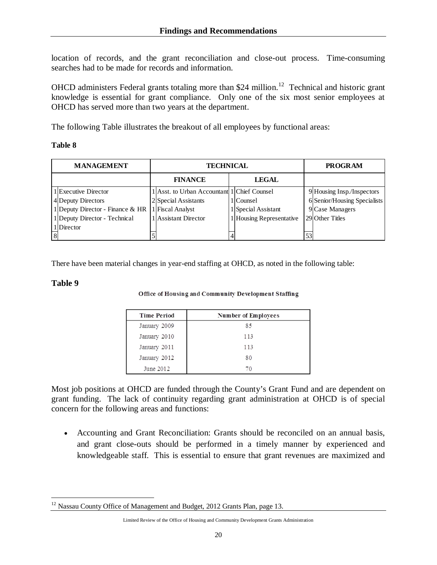location of records, and the grant reconciliation and close-out process. Time-consuming searches had to be made for records and information.

OHCD administers Federal grants totaling more than \$24 million.<sup>12</sup> Technical and historic grant knowledge is essential for grant compliance. Only one of the six most senior employees at OHCD has served more than two years at the department.

The following Table illustrates the breakout of all employees by functional areas:

#### **Table 8**

| <b>MANAGEMENT</b> |                                  |                | TECHNICAL                                   |  |                          | <b>PROGRAM</b> |                              |
|-------------------|----------------------------------|----------------|---------------------------------------------|--|--------------------------|----------------|------------------------------|
|                   |                                  | <b>FINANCE</b> |                                             |  | LEGAL                    |                |                              |
|                   | 1 Executive Director             |                | 1 Asst. to Urban Accountant 1 Chief Counsel |  |                          |                | 9 Housing Insp./Inspectors   |
|                   | 4 Deputy Directors               |                | 2 Special Assistants                        |  | 1 Counsel                |                | 6 Senior/Housing Specialists |
|                   | 1 Deputy Director - Finance & HR |                | 1 Fiscal Analyst                            |  | 1 Special Assistant      |                | 9 Case Managers              |
|                   | 1 Deputy Director - Technical    |                | 1 Assistant Director                        |  | 1 Housing Representative |                | 29 Other Titles              |
|                   | 1 Director                       |                |                                             |  |                          |                |                              |
|                   |                                  |                |                                             |  |                          |                |                              |

There have been material changes in year-end staffing at OHCD, as noted in the following table:

#### **Table 9**

#### Office of Housing and Community Development Staffing

| <b>Time Period</b> | Number of Employees |
|--------------------|---------------------|
| January 2009       | 85                  |
| January 2010       | 113                 |
| January 2011       | 113                 |
| January 2012       | 80                  |
| June 2012          | 70                  |

Most job positions at OHCD are funded through the County's Grant Fund and are dependent on grant funding. The lack of continuity regarding grant administration at OHCD is of special concern for the following areas and functions:

 Accounting and Grant Reconciliation: Grants should be reconciled on an annual basis, and grant close-outs should be performed in a timely manner by experienced and knowledgeable staff. This is essential to ensure that grant revenues are maximized and

 $\overline{a}$ <sup>12</sup> Nassau County Office of Management and Budget, 2012 Grants Plan, page 13.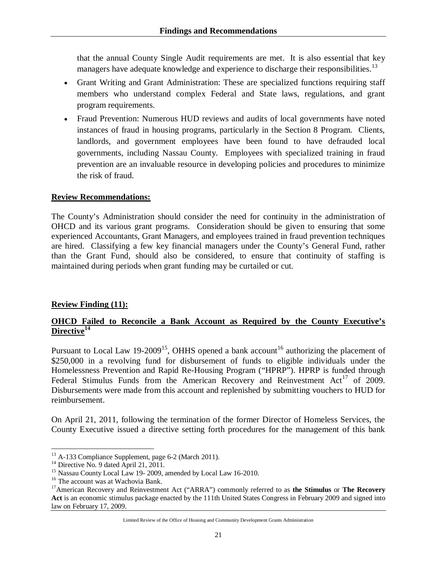that the annual County Single Audit requirements are met. It is also essential that key managers have adequate knowledge and experience to discharge their responsibilities.<sup>13</sup>

- Grant Writing and Grant Administration: These are specialized functions requiring staff members who understand complex Federal and State laws, regulations, and grant program requirements.
- Fraud Prevention: Numerous HUD reviews and audits of local governments have noted instances of fraud in housing programs, particularly in the Section 8 Program. Clients, landlords, and government employees have been found to have defrauded local governments, including Nassau County. Employees with specialized training in fraud prevention are an invaluable resource in developing policies and procedures to minimize the risk of fraud.

### **Review Recommendations:**

The County's Administration should consider the need for continuity in the administration of OHCD and its various grant programs. Consideration should be given to ensuring that some experienced Accountants, Grant Managers, and employees trained in fraud prevention techniques are hired. Classifying a few key financial managers under the County's General Fund, rather than the Grant Fund, should also be considered, to ensure that continuity of staffing is maintained during periods when grant funding may be curtailed or cut.

### **Review Finding (11):**

# **OHCD Failed to Reconcile a Bank Account as Required by the County Executive's Directive<sup>14</sup>**

Pursuant to Local Law 19-2009<sup>15</sup>, OHHS opened a bank account<sup>16</sup> authorizing the placement of \$250,000 in a revolving fund for disbursement of funds to eligible individuals under the Homelessness Prevention and Rapid Re-Housing Program ("HPRP"). HPRP is funded through Federal Stimulus Funds from the American Recovery and Reinvestment  $Act^{17}$  of 2009. Disbursements were made from this account and replenished by submitting vouchers to HUD for reimbursement.

On April 21, 2011, following the termination of the former Director of Homeless Services, the County Executive issued a directive setting forth procedures for the management of this bank

Limited Review of the Office of Housing and Community Development Grants Administration

 $\overline{a}$ <sup>13</sup> A-133 Compliance Supplement, page 6-2 (March 2011).

<sup>&</sup>lt;sup>14</sup> Directive No. 9 dated April 21, 2011.

<sup>&</sup>lt;sup>15</sup> Nassau County Local Law 19- 2009, amended by Local Law 16-2010.

<sup>&</sup>lt;sup>16</sup> The account was at Wachovia Bank.

<sup>17</sup>American Recovery and Reinvestment Act ("ARRA") commonly referred to as **the Stimulus** or **The Recovery Act** is an economic stimulus package enacted by the 111th United States Congress in February 2009 and signed into law on February 17, 2009.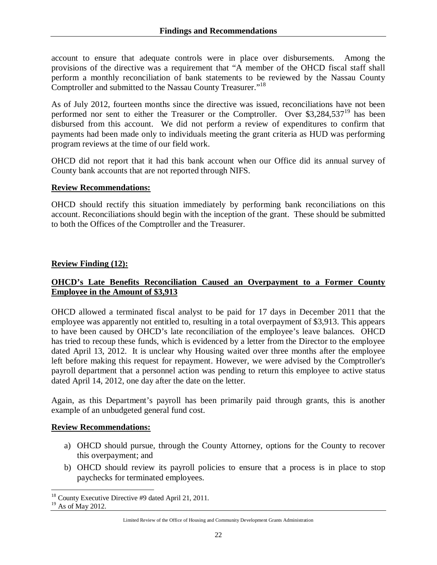account to ensure that adequate controls were in place over disbursements. Among the provisions of the directive was a requirement that "A member of the OHCD fiscal staff shall perform a monthly reconciliation of bank statements to be reviewed by the Nassau County Comptroller and submitted to the Nassau County Treasurer."<sup>18</sup>

As of July 2012, fourteen months since the directive was issued, reconciliations have not been performed nor sent to either the Treasurer or the Comptroller. Over  $$3,284,537^{19}$  has been disbursed from this account. We did not perform a review of expenditures to confirm that payments had been made only to individuals meeting the grant criteria as HUD was performing program reviews at the time of our field work.

OHCD did not report that it had this bank account when our Office did its annual survey of County bank accounts that are not reported through NIFS.

### **Review Recommendations:**

OHCD should rectify this situation immediately by performing bank reconciliations on this account. Reconciliations should begin with the inception of the grant. These should be submitted to both the Offices of the Comptroller and the Treasurer.

### **Review Finding (12):**

# **OHCD's Late Benefits Reconciliation Caused an Overpayment to a Former County Employee in the Amount of \$3,913**

OHCD allowed a terminated fiscal analyst to be paid for 17 days in December 2011 that the employee was apparently not entitled to, resulting in a total overpayment of \$3,913. This appears to have been caused by OHCD's late reconciliation of the employee's leave balances. OHCD has tried to recoup these funds, which is evidenced by a letter from the Director to the employee dated April 13, 2012. It is unclear why Housing waited over three months after the employee left before making this request for repayment. However, we were advised by the Comptroller's payroll department that a personnel action was pending to return this employee to active status dated April 14, 2012, one day after the date on the letter.

Again, as this Department's payroll has been primarily paid through grants, this is another example of an unbudgeted general fund cost.

### **Review Recommendations:**

- a) OHCD should pursue, through the County Attorney, options for the County to recover this overpayment; and
- b) OHCD should review its payroll policies to ensure that a process is in place to stop paychecks for terminated employees.

 $\overline{a}$ <sup>18</sup> County Executive Directive #9 dated April 21, 2011.

<sup>&</sup>lt;sup>19</sup> As of May 2012.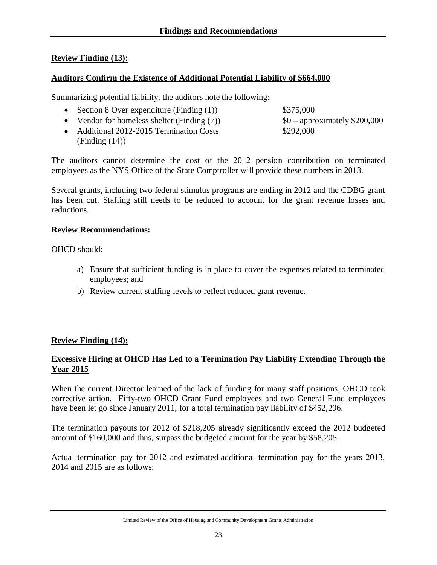# **Review Finding (13):**

### **Auditors Confirm the Existence of Additional Potential Liability of \$664,000**

Summarizing potential liability, the auditors note the following:

- Section 8 Over expenditure (Finding  $(1)$ ) \$375,000
- Vendor for homeless shelter (Finding  $(7)$ )  $$0$  approximately \$200,000

• Additional 2012-2015 Termination Costs \$292,000 (Finding (14))

The auditors cannot determine the cost of the 2012 pension contribution on terminated employees as the NYS Office of the State Comptroller will provide these numbers in 2013.

Several grants, including two federal stimulus programs are ending in 2012 and the CDBG grant has been cut. Staffing still needs to be reduced to account for the grant revenue losses and reductions.

### **Review Recommendations:**

OHCD should:

- a) Ensure that sufficient funding is in place to cover the expenses related to terminated employees; and
- b) Review current staffing levels to reflect reduced grant revenue.

### **Review Finding (14):**

# **Excessive Hiring at OHCD Has Led to a Termination Pay Liability Extending Through the Year 2015**

When the current Director learned of the lack of funding for many staff positions, OHCD took corrective action. Fifty-two OHCD Grant Fund employees and two General Fund employees have been let go since January 2011, for a total termination pay liability of \$452,296.

The termination payouts for 2012 of \$218,205 already significantly exceed the 2012 budgeted amount of \$160,000 and thus, surpass the budgeted amount for the year by \$58,205.

Actual termination pay for 2012 and estimated additional termination pay for the years 2013, 2014 and 2015 are as follows:

Limited Review of the Office of Housing and Community Development Grants Administration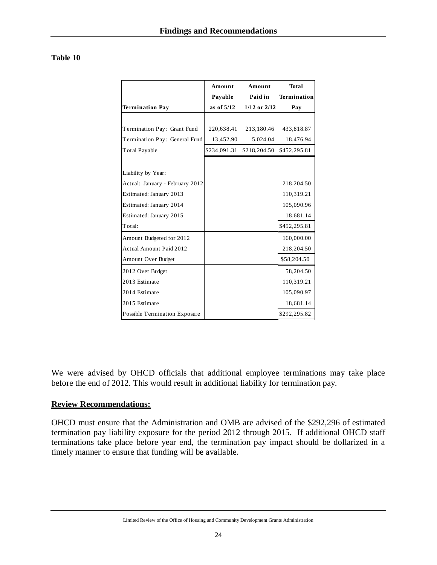|                                      | Amount       | Amount           | Total              |
|--------------------------------------|--------------|------------------|--------------------|
|                                      | Payable      | Paid in          | <b>Termination</b> |
| <b>Termination Pay</b>               | as of $5/12$ | $1/12$ or $2/12$ | Pay                |
|                                      |              |                  |                    |
| Termination Pay: Grant Fund          | 220,638.41   | 213,180.46       | 433,818.87         |
| Termination Pay: General Fund        | 13,452.90    | 5,024.04         | 18,476.94          |
| <b>Total Payable</b>                 | \$234,091.31 | \$218,204.50     | \$452,295.81       |
|                                      |              |                  |                    |
| Liability by Year:                   |              |                  |                    |
| Actual: January - February 2012      |              |                  | 218,204.50         |
| Estimated: January 2013              |              |                  | 110,319.21         |
| Estimated: January 2014              |              |                  | 105,090.96         |
| Estimated: January 2015              |              |                  | 18,681.14          |
| Total:                               |              |                  | \$452,295.81       |
| Amount Budgeted for 2012             |              |                  | 160,000.00         |
| <b>Actual Amount Paid 2012</b>       |              |                  | 218,204.50         |
| Amount Over Budget                   |              |                  | \$58,204.50        |
| 2012 Over Budget                     |              |                  | 58,204.50          |
| 2013 Estimate                        |              |                  | 110,319.21         |
| 2014 Estimate                        |              |                  | 105,090.97         |
| 2015 Estimate                        |              |                  | 18,681.14          |
| <b>Possible Termination Exposure</b> |              |                  | \$292,295.82       |

We were advised by OHCD officials that additional employee terminations may take place before the end of 2012. This would result in additional liability for termination pay.

### **Review Recommendations:**

OHCD must ensure that the Administration and OMB are advised of the \$292,296 of estimated termination pay liability exposure for the period 2012 through 2015. If additional OHCD staff terminations take place before year end, the termination pay impact should be dollarized in a timely manner to ensure that funding will be available.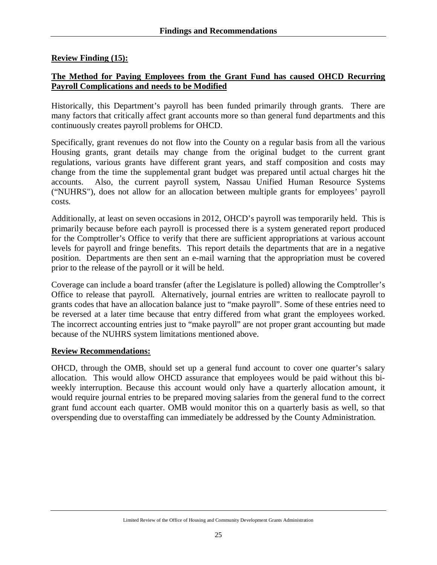# **Review Finding (15):**

# **The Method for Paying Employees from the Grant Fund has caused OHCD Recurring Payroll Complications and needs to be Modified**

Historically, this Department's payroll has been funded primarily through grants. There are many factors that critically affect grant accounts more so than general fund departments and this continuously creates payroll problems for OHCD.

Specifically, grant revenues do not flow into the County on a regular basis from all the various Housing grants, grant details may change from the original budget to the current grant regulations, various grants have different grant years, and staff composition and costs may change from the time the supplemental grant budget was prepared until actual charges hit the accounts. Also, the current payroll system, Nassau Unified Human Resource Systems ("NUHRS"), does not allow for an allocation between multiple grants for employees' payroll costs.

Additionally, at least on seven occasions in 2012, OHCD's payroll was temporarily held. This is primarily because before each payroll is processed there is a system generated report produced for the Comptroller's Office to verify that there are sufficient appropriations at various account levels for payroll and fringe benefits. This report details the departments that are in a negative position. Departments are then sent an e-mail warning that the appropriation must be covered prior to the release of the payroll or it will be held.

Coverage can include a board transfer (after the Legislature is polled) allowing the Comptroller's Office to release that payroll. Alternatively, journal entries are written to reallocate payroll to grants codes that have an allocation balance just to "make payroll". Some of these entries need to be reversed at a later time because that entry differed from what grant the employees worked. The incorrect accounting entries just to "make payroll" are not proper grant accounting but made because of the NUHRS system limitations mentioned above.

### **Review Recommendations:**

OHCD, through the OMB, should set up a general fund account to cover one quarter's salary allocation. This would allow OHCD assurance that employees would be paid without this biweekly interruption. Because this account would only have a quarterly allocation amount, it would require journal entries to be prepared moving salaries from the general fund to the correct grant fund account each quarter. OMB would monitor this on a quarterly basis as well, so that overspending due to overstaffing can immediately be addressed by the County Administration.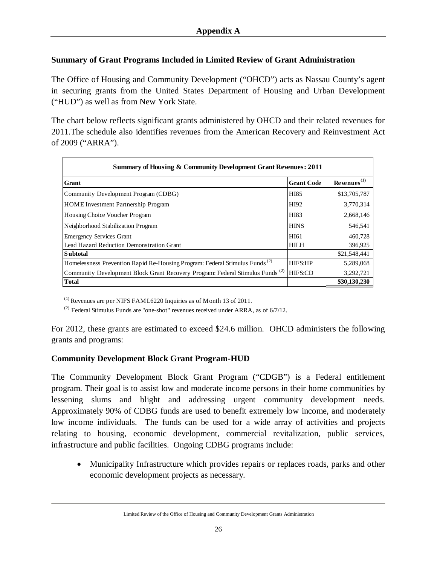# **Summary of Grant Programs Included in Limited Review of Grant Administration**

The Office of Housing and Community Development ("OHCD") acts as Nassau County's agent in securing grants from the United States Department of Housing and Urban Development ("HUD") as well as from New York State.

The chart below reflects significant grants administered by OHCD and their related revenues for 2011.The schedule also identifies revenues from the American Recovery and Reinvestment Act of 2009 ("ARRA").

| <b>Summary of Housing &amp; Community Development Grant Revenues: 2011</b>                |                   |                      |
|-------------------------------------------------------------------------------------------|-------------------|----------------------|
| <b>Grant</b>                                                                              | <b>Grant Code</b> | $Re$ venues $^{(1)}$ |
| Community Development Program (CDBG)                                                      | HI85              | \$13,705,787         |
| <b>HOME</b> Investment Partnership Program                                                | HI92              | 3,770,314            |
| Housing Choice Voucher Program                                                            | HI83              | 2,668,146            |
| Neighborhood Stabilization Program                                                        | <b>HINS</b>       | 546,541              |
| <b>Emergency Services Grant</b>                                                           | HI61              | 460,728              |
| Lead Hazard Reduction Demonstration Grant                                                 | <b>HILH</b>       | 396,925              |
| <b>Subtotal</b>                                                                           |                   | \$21,548,441         |
| Homelessness Prevention Rapid Re-Housing Program: Federal Stimulus Funds <sup>(2)</sup>   | <b>HIFS:HP</b>    | 5,289,068            |
| Community Development Block Grant Recovery Program: Federal Stimulus Funds <sup>(2)</sup> | HIFS:CD           | 3,292,721            |
| <b>Total</b>                                                                              |                   | \$30,130,230         |

 $<sup>(1)</sup>$  Revenues are per NIFS FAML6220 Inquiries as of Month 13 of 2011.</sup>

 $^{(2)}$  Federal Stimulus Funds are "one-shot" revenues received under ARRA, as of  $6/7/12$ .

For 2012, these grants are estimated to exceed \$24.6 million. OHCD administers the following grants and programs:

# **Community Development Block Grant Program-HUD**

The Community Development Block Grant Program ("CDGB") is a Federal entitlement program. Their goal is to assist low and moderate income persons in their home communities by lessening slums and blight and addressing urgent community development needs. Approximately 90% of CDBG funds are used to benefit extremely low income, and moderately low income individuals. The funds can be used for a wide array of activities and projects relating to housing, economic development, commercial revitalization, public services, infrastructure and public facilities. Ongoing CDBG programs include:

 Municipality Infrastructure which provides repairs or replaces roads, parks and other economic development projects as necessary.

Limited Review of the Office of Housing and Community Development Grants Administration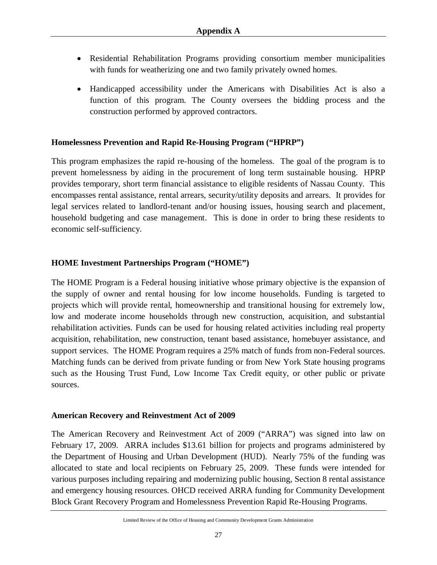- Residential Rehabilitation Programs providing consortium member municipalities with funds for weatherizing one and two family privately owned homes.
- Handicapped accessibility under the Americans with Disabilities Act is also a function of this program. The County oversees the bidding process and the construction performed by approved contractors.

# **Homelessness Prevention and Rapid Re-Housing Program ("HPRP")**

This program emphasizes the rapid re-housing of the homeless. The goal of the program is to prevent homelessness by aiding in the procurement of long term sustainable housing. HPRP provides temporary, short term financial assistance to eligible residents of Nassau County. This encompasses rental assistance, rental arrears, security/utility deposits and arrears. It provides for legal services related to landlord-tenant and/or housing issues, housing search and placement, household budgeting and case management. This is done in order to bring these residents to economic self-sufficiency.

# **HOME Investment Partnerships Program ("HOME")**

The HOME Program is a Federal housing initiative whose primary objective is the expansion of the supply of owner and rental housing for low income households. Funding is targeted to projects which will provide rental, homeownership and transitional housing for extremely low, low and moderate income households through new construction, acquisition, and substantial rehabilitation activities. Funds can be used for housing related activities including real property acquisition, rehabilitation, new construction, tenant based assistance, homebuyer assistance, and support services. The HOME Program requires a 25% match of funds from non-Federal sources. Matching funds can be derived from private funding or from New York State housing programs such as the Housing Trust Fund, Low Income Tax Credit equity, or other public or private sources.

### **American Recovery and Reinvestment Act of 2009**

The American Recovery and Reinvestment Act of 2009 ("ARRA") was signed into law on February 17, 2009. ARRA includes \$13.61 billion for projects and programs administered by the Department of Housing and Urban Development (HUD). Nearly 75% of the funding was allocated to state and local recipients on February 25, 2009. These funds were intended for various purposes including repairing and modernizing public housing, Section 8 rental assistance and emergency housing resources. OHCD received ARRA funding for Community Development Block Grant Recovery Program and Homelessness Prevention Rapid Re-Housing Programs.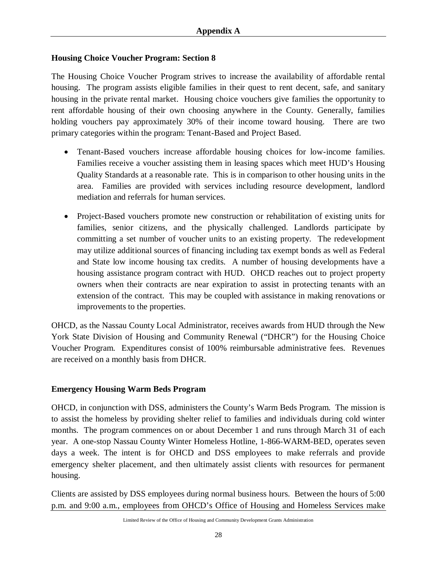# **Housing Choice Voucher Program: Section 8**

The Housing Choice Voucher Program strives to increase the availability of affordable rental housing. The program assists eligible families in their quest to rent decent, safe, and sanitary housing in the private rental market. Housing choice vouchers give families the opportunity to rent affordable housing of their own choosing anywhere in the County. Generally, families holding vouchers pay approximately 30% of their income toward housing. There are two primary categories within the program: Tenant-Based and Project Based.

- Tenant-Based vouchers increase affordable housing choices for low-income families. Families receive a voucher assisting them in leasing spaces which meet HUD's Housing Quality Standards at a reasonable rate. This is in comparison to other housing units in the area. Families are provided with services including resource development, landlord mediation and referrals for human services.
- Project-Based vouchers promote new construction or rehabilitation of existing units for families, senior citizens, and the physically challenged. Landlords participate by committing a set number of voucher units to an existing property. The redevelopment may utilize additional sources of financing including tax exempt bonds as well as Federal and State low income housing tax credits. A number of housing developments have a housing assistance program contract with HUD. OHCD reaches out to project property owners when their contracts are near expiration to assist in protecting tenants with an extension of the contract. This may be coupled with assistance in making renovations or improvements to the properties.

OHCD, as the Nassau County Local Administrator, receives awards from HUD through the New York State Division of Housing and Community Renewal ("DHCR") for the Housing Choice Voucher Program. Expenditures consist of 100% reimbursable administrative fees. Revenues are received on a monthly basis from DHCR.

### **Emergency Housing Warm Beds Program**

OHCD, in conjunction with DSS, administers the County's Warm Beds Program. The mission is to assist the homeless by providing shelter relief to families and individuals during cold winter months. The program commences on or about December 1 and runs through March 31 of each year. A one-stop Nassau County Winter Homeless Hotline, 1-866-WARM-BED, operates seven days a week. The intent is for OHCD and DSS employees to make referrals and provide emergency shelter placement, and then ultimately assist clients with resources for permanent housing.

Clients are assisted by DSS employees during normal business hours. Between the hours of 5:00 p.m. and 9:00 a.m., employees from OHCD's Office of Housing and Homeless Services make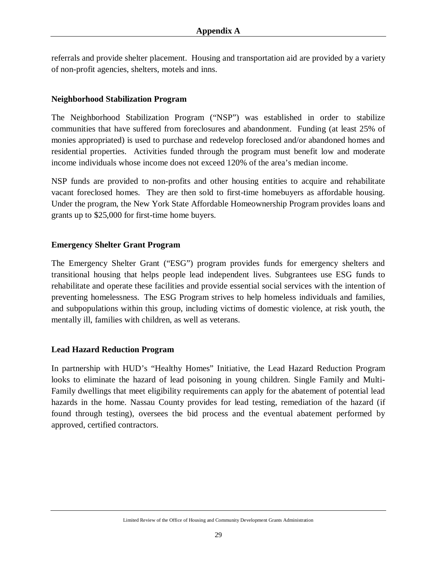referrals and provide shelter placement. Housing and transportation aid are provided by a variety of non-profit agencies, shelters, motels and inns.

### **Neighborhood Stabilization Program**

The Neighborhood Stabilization Program ("NSP") was established in order to stabilize communities that have suffered from foreclosures and abandonment. Funding (at least 25% of monies appropriated) is used to purchase and redevelop foreclosed and/or abandoned homes and residential properties. Activities funded through the program must benefit low and moderate income individuals whose income does not exceed 120% of the area's median income.

NSP funds are provided to non-profits and other housing entities to acquire and rehabilitate vacant foreclosed homes. They are then sold to first-time homebuyers as affordable housing. Under the program, the New York State Affordable Homeownership Program provides loans and grants up to \$25,000 for first-time home buyers.

### **Emergency Shelter Grant Program**

The Emergency Shelter Grant ("ESG") program provides funds for emergency shelters and transitional housing that helps people lead independent lives. Subgrantees use ESG funds to rehabilitate and operate these facilities and provide essential social services with the intention of preventing homelessness. The ESG Program strives to help homeless individuals and families, and subpopulations within this group, including victims of domestic violence, at risk youth, the mentally ill, families with children, as well as veterans.

### **Lead Hazard Reduction Program**

In partnership with HUD's "Healthy Homes" Initiative, the Lead Hazard Reduction Program looks to eliminate the hazard of lead poisoning in young children. Single Family and Multi-Family dwellings that meet eligibility requirements can apply for the abatement of potential lead hazards in the home. Nassau County provides for lead testing, remediation of the hazard (if found through testing), oversees the bid process and the eventual abatement performed by approved, certified contractors.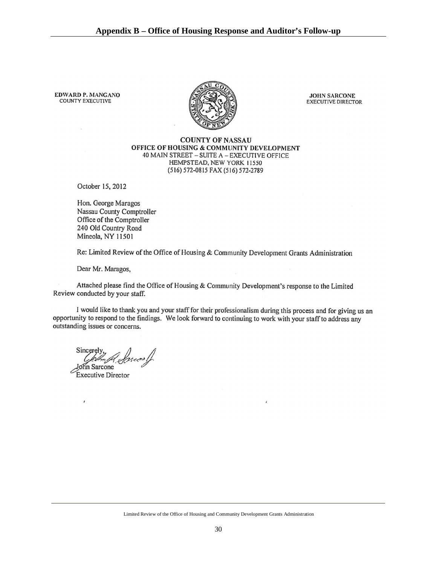**EDWARD P. MANGANO COUNTY EXECUTIVE** 



**JOHN SARCONE EXECUTIVE DIRECTOR** 

#### **COUNTY OF NASSAU** OFFICE OF HOUSING & COMMUNITY DEVELOPMENT 40 MAIN STREET - SUITE A - EXECUTIVE OFFICE HEMPSTEAD, NEW YORK 11550 (516) 572-0815 FAX (516) 572-2789

October 15, 2012

Hon. George Maragos Nassau County Comptroller Office of the Comptroller 240 Old Country Road Mineola, NY 11501

Re: Limited Review of the Office of Housing & Community Development Grants Administration

Dear Mr. Maragos,

Attached please find the Office of Housing & Community Development's response to the Limited Review conducted by your staff.

I would like to thank you and your staff for their professionalism during this process and for giving us an opportunity to respond to the findings. We look forward to continuing to work with your staff to address any outstanding issues or concerns.

Sincerely A. Sancos /f.

hn Sarcone Executive Director

þ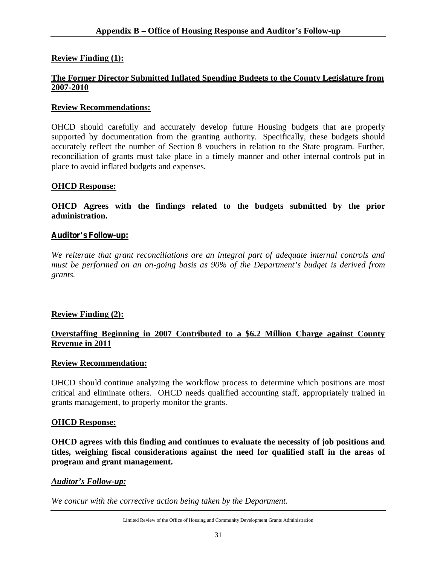# **Review Finding (1):**

### **The Former Director Submitted Inflated Spending Budgets to the County Legislature from 2007-2010**

### **Review Recommendations:**

OHCD should carefully and accurately develop future Housing budgets that are properly supported by documentation from the granting authority. Specifically, these budgets should accurately reflect the number of Section 8 vouchers in relation to the State program. Further, reconciliation of grants must take place in a timely manner and other internal controls put in place to avoid inflated budgets and expenses.

### **OHCD Response:**

**OHCD Agrees with the findings related to the budgets submitted by the prior administration.**

### *Auditor's Follow-up:*

*We reiterate that grant reconciliations are an integral part of adequate internal controls and must be performed on an on-going basis as 90% of the Department's budget is derived from grants.*

### **Review Finding (2):**

# **Overstaffing Beginning in 2007 Contributed to a \$6.2 Million Charge against County Revenue in 2011**

#### **Review Recommendation:**

OHCD should continue analyzing the workflow process to determine which positions are most critical and eliminate others. OHCD needs qualified accounting staff, appropriately trained in grants management, to properly monitor the grants.

### **OHCD Response:**

**OHCD agrees with this finding and continues to evaluate the necessity of job positions and titles, weighing fiscal considerations against the need for qualified staff in the areas of program and grant management.**

#### *Auditor's Follow-up:*

*We concur with the corrective action being taken by the Department.*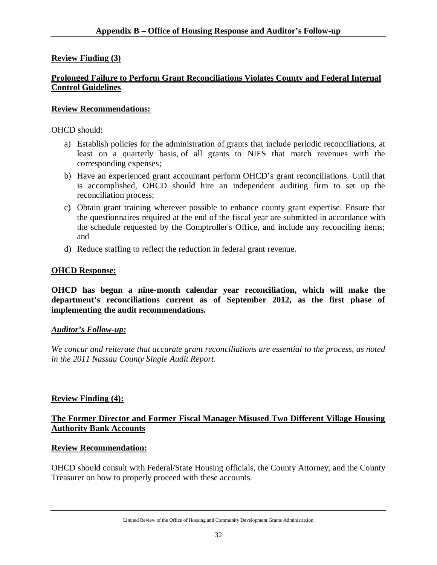# **Review Finding (3)**

# **Prolonged Failure to Perform Grant Reconciliations Violates County and Federal Internal Control Guidelines**

### **Review Recommendations:**

OHCD should:

- a) Establish policies for the administration of grants that include periodic reconciliations, at least on a quarterly basis, of all grants to NIFS that match revenues with the corresponding expenses;
- b) Have an experienced grant accountant perform OHCD's grant reconciliations. Until that is accomplished, OHCD should hire an independent auditing firm to set up the reconciliation process;
- c) Obtain grant training wherever possible to enhance county grant expertise. Ensure that the questionnaires required at the end of the fiscal year are submitted in accordance with the schedule requested by the Comptroller's Office, and include any reconciling items; and
- d) Reduce staffing to reflect the reduction in federal grant revenue.

# **OHCD Response:**

**OHCD has begun a nine-month calendar year reconciliation, which will make the department's reconciliations current as of September 2012, as the first phase of implementing the audit recommendations.**

### *Auditor's Follow-up:*

*We concur and reiterate that accurate grant reconciliations are essential to the process, as noted in the 2011 Nassau County Single Audit Report.*

# **Review Finding (4):**

# **The Former Director and Former Fiscal Manager Misused Two Different Village Housing Authority Bank Accounts**

### **Review Recommendation:**

OHCD should consult with Federal/State Housing officials, the County Attorney, and the County Treasurer on how to properly proceed with these accounts.

Limited Review of the Office of Housing and Community Development Grants Administration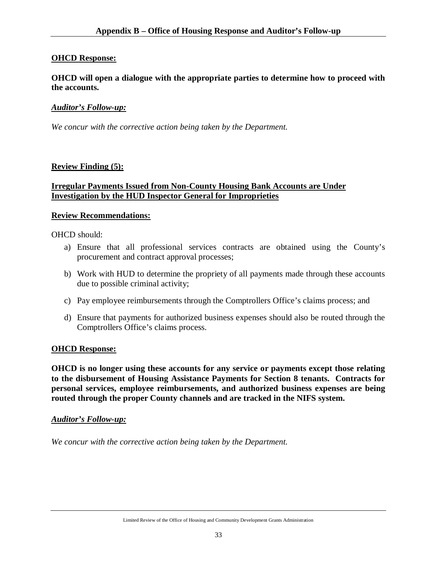# **OHCD Response:**

**OHCD will open a dialogue with the appropriate parties to determine how to proceed with the accounts.**

### *Auditor's Follow-up:*

*We concur with the corrective action being taken by the Department.*

### **Review Finding (5):**

# **Irregular Payments Issued from Non-County Housing Bank Accounts are Under Investigation by the HUD Inspector General for Improprieties**

### **Review Recommendations:**

OHCD should:

- a) Ensure that all professional services contracts are obtained using the County's procurement and contract approval processes;
- b) Work with HUD to determine the propriety of all payments made through these accounts due to possible criminal activity;
- c) Pay employee reimbursements through the Comptrollers Office's claims process; and
- d) Ensure that payments for authorized business expenses should also be routed through the Comptrollers Office's claims process.

#### **OHCD Response:**

**OHCD is no longer using these accounts for any service or payments except those relating to the disbursement of Housing Assistance Payments for Section 8 tenants. Contracts for personal services, employee reimbursements, and authorized business expenses are being routed through the proper County channels and are tracked in the NIFS system.**

#### *Auditor's Follow-up:*

*We concur with the corrective action being taken by the Department.*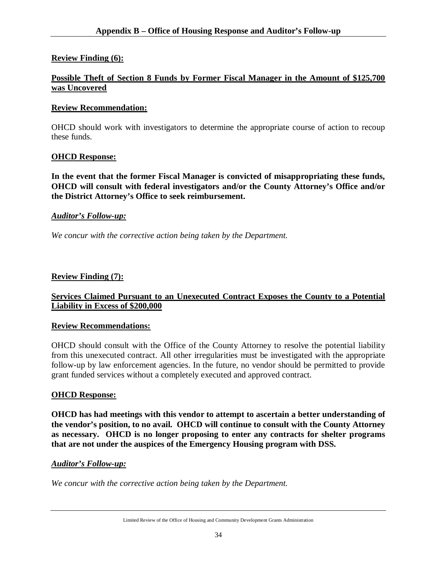# **Review Finding (6):**

# **Possible Theft of Section 8 Funds by Former Fiscal Manager in the Amount of \$125,700 was Uncovered**

### **Review Recommendation:**

OHCD should work with investigators to determine the appropriate course of action to recoup these funds.

### **OHCD Response:**

**In the event that the former Fiscal Manager is convicted of misappropriating these funds, OHCD will consult with federal investigators and/or the County Attorney's Office and/or the District Attorney's Office to seek reimbursement.**

### *Auditor's Follow-up:*

*We concur with the corrective action being taken by the Department.*

### **Review Finding (7):**

# **Services Claimed Pursuant to an Unexecuted Contract Exposes the County to a Potential Liability in Excess of \$200,000**

### **Review Recommendations:**

OHCD should consult with the Office of the County Attorney to resolve the potential liability from this unexecuted contract. All other irregularities must be investigated with the appropriate follow-up by law enforcement agencies. In the future, no vendor should be permitted to provide grant funded services without a completely executed and approved contract.

#### **OHCD Response:**

**OHCD has had meetings with this vendor to attempt to ascertain a better understanding of the vendor's position, to no avail. OHCD will continue to consult with the County Attorney as necessary. OHCD is no longer proposing to enter any contracts for shelter programs that are not under the auspices of the Emergency Housing program with DSS.**

#### *Auditor's Follow-up:*

*We concur with the corrective action being taken by the Department.*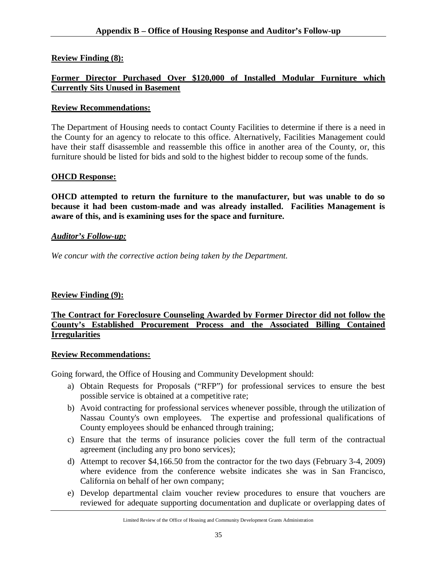# **Review Finding (8):**

# **Former Director Purchased Over \$120,000 of Installed Modular Furniture which Currently Sits Unused in Basement**

### **Review Recommendations:**

The Department of Housing needs to contact County Facilities to determine if there is a need in the County for an agency to relocate to this office. Alternatively, Facilities Management could have their staff disassemble and reassemble this office in another area of the County, or, this furniture should be listed for bids and sold to the highest bidder to recoup some of the funds.

# **OHCD Response:**

**OHCD attempted to return the furniture to the manufacturer, but was unable to do so because it had been custom-made and was already installed. Facilities Management is aware of this, and is examining uses for the space and furniture.**

# *Auditor's Follow-up:*

*We concur with the corrective action being taken by the Department.*

# **Review Finding (9):**

# **The Contract for Foreclosure Counseling Awarded by Former Director did not follow the County's Established Procurement Process and the Associated Billing Contained Irregularities**

### **Review Recommendations:**

Going forward, the Office of Housing and Community Development should:

- a) Obtain Requests for Proposals ("RFP") for professional services to ensure the best possible service is obtained at a competitive rate;
- b) Avoid contracting for professional services whenever possible, through the utilization of Nassau County's own employees. The expertise and professional qualifications of County employees should be enhanced through training;
- c) Ensure that the terms of insurance policies cover the full term of the contractual agreement (including any pro bono services);
- d) Attempt to recover \$4,166.50 from the contractor for the two days (February 3-4, 2009) where evidence from the conference website indicates she was in San Francisco, California on behalf of her own company;
- e) Develop departmental claim voucher review procedures to ensure that vouchers are reviewed for adequate supporting documentation and duplicate or overlapping dates of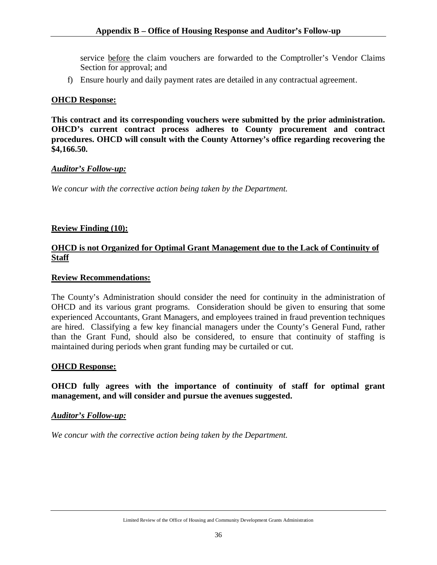service before the claim vouchers are forwarded to the Comptroller's Vendor Claims Section for approval; and

f) Ensure hourly and daily payment rates are detailed in any contractual agreement.

# **OHCD Response:**

**This contract and its corresponding vouchers were submitted by the prior administration. OHCD's current contract process adheres to County procurement and contract procedures. OHCD will consult with the County Attorney's office regarding recovering the \$4,166.50.**

### *Auditor's Follow-up:*

*We concur with the corrective action being taken by the Department.*

# **Review Finding (10):**

# **OHCD is not Organized for Optimal Grant Management due to the Lack of Continuity of Staff**

### **Review Recommendations:**

The County's Administration should consider the need for continuity in the administration of OHCD and its various grant programs. Consideration should be given to ensuring that some experienced Accountants, Grant Managers, and employees trained in fraud prevention techniques are hired. Classifying a few key financial managers under the County's General Fund, rather than the Grant Fund, should also be considered, to ensure that continuity of staffing is maintained during periods when grant funding may be curtailed or cut.

### **OHCD Response:**

**OHCD fully agrees with the importance of continuity of staff for optimal grant management, and will consider and pursue the avenues suggested.**

### *Auditor's Follow-up:*

*We concur with the corrective action being taken by the Department.*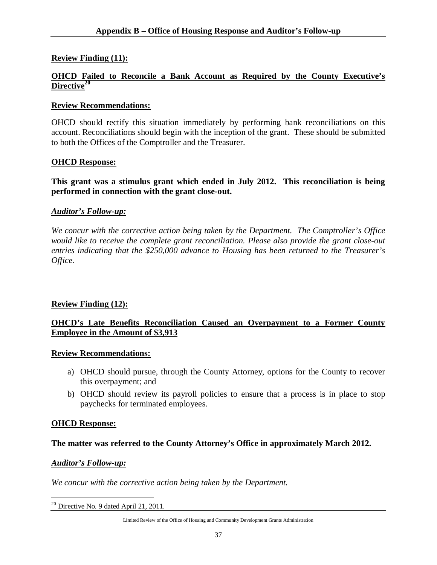# **Review Finding (11):**

# **OHCD Failed to Reconcile a Bank Account as Required by the County Executive's Directive<sup>20</sup>**

### **Review Recommendations:**

OHCD should rectify this situation immediately by performing bank reconciliations on this account. Reconciliations should begin with the inception of the grant. These should be submitted to both the Offices of the Comptroller and the Treasurer.

### **OHCD Response:**

### **This grant was a stimulus grant which ended in July 2012. This reconciliation is being performed in connection with the grant close-out.**

### *Auditor's Follow-up:*

*We concur with the corrective action being taken by the Department. The Comptroller's Office would like to receive the complete grant reconciliation. Please also provide the grant close-out entries indicating that the \$250,000 advance to Housing has been returned to the Treasurer's Office.*

### **Review Finding (12):**

# **OHCD's Late Benefits Reconciliation Caused an Overpayment to a Former County Employee in the Amount of \$3,913**

### **Review Recommendations:**

- a) OHCD should pursue, through the County Attorney, options for the County to recover this overpayment; and
- b) OHCD should review its payroll policies to ensure that a process is in place to stop paychecks for terminated employees.

#### **OHCD Response:**

### **The matter was referred to the County Attorney's Office in approximately March 2012.**

#### *Auditor's Follow-up:*

*We concur with the corrective action being taken by the Department.*

 $\overline{a}$  $20$  Directive No. 9 dated April 21, 2011.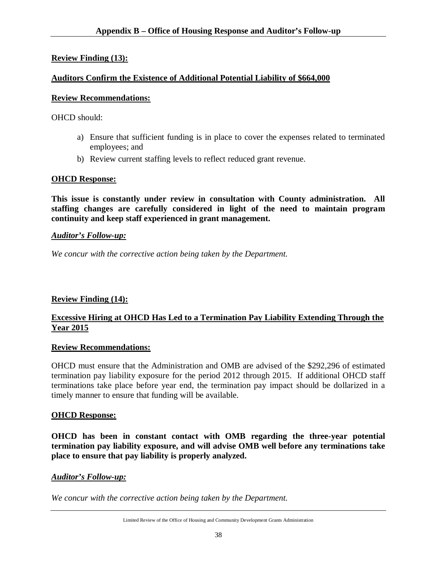# **Review Finding (13):**

# **Auditors Confirm the Existence of Additional Potential Liability of \$664,000**

# **Review Recommendations:**

OHCD should:

- a) Ensure that sufficient funding is in place to cover the expenses related to terminated employees; and
- b) Review current staffing levels to reflect reduced grant revenue.

# **OHCD Response:**

**This issue is constantly under review in consultation with County administration. All staffing changes are carefully considered in light of the need to maintain program continuity and keep staff experienced in grant management.**

# *Auditor's Follow-up:*

*We concur with the corrective action being taken by the Department.*

# **Review Finding (14):**

# **Excessive Hiring at OHCD Has Led to a Termination Pay Liability Extending Through the Year 2015**

### **Review Recommendations:**

OHCD must ensure that the Administration and OMB are advised of the \$292,296 of estimated termination pay liability exposure for the period 2012 through 2015. If additional OHCD staff terminations take place before year end, the termination pay impact should be dollarized in a timely manner to ensure that funding will be available.

### **OHCD Response:**

**OHCD has been in constant contact with OMB regarding the three-year potential termination pay liability exposure, and will advise OMB well before any terminations take place to ensure that pay liability is properly analyzed.**

# *Auditor's Follow-up:*

*We concur with the corrective action being taken by the Department.*